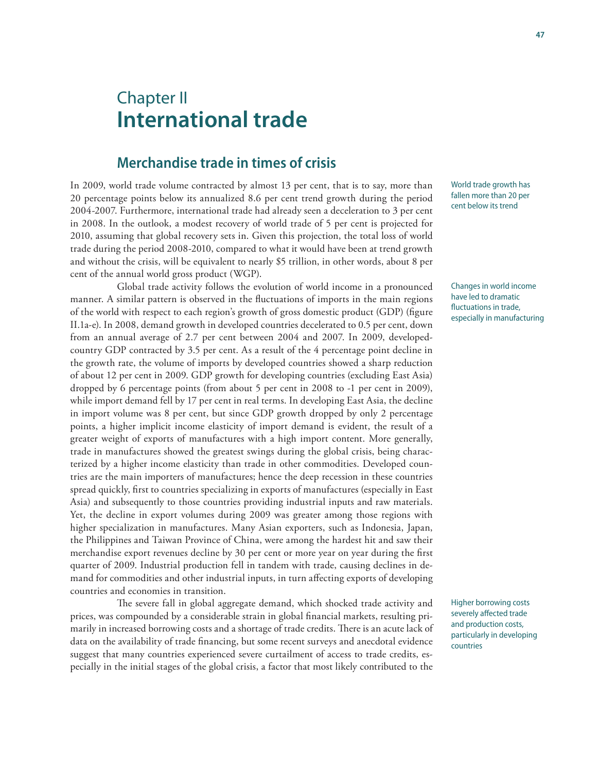# Chapter II **International trade**

### **Merchandise trade in times of crisis**

In 2009, world trade volume contracted by almost 13 per cent, that is to say, more than 20 percentage points below its annualized 8.6 per cent trend growth during the period 2004-2007. Furthermore, international trade had already seen a deceleration to 3 per cent in 2008. In the outlook, a modest recovery of world trade of 5 per cent is projected for 2010, assuming that global recovery sets in. Given this projection, the total loss of world trade during the period 2008-2010, compared to what it would have been at trend growth and without the crisis, will be equivalent to nearly \$5 trillion, in other words, about 8 per cent of the annual world gross product (WGP).

Global trade activity follows the evolution of world income in a pronounced manner. A similar pattern is observed in the fluctuations of imports in the main regions of the world with respect to each region's growth of gross domestic product (GDP) (figure II.1a-e). In 2008, demand growth in developed countries decelerated to 0.5 per cent, down from an annual average of 2.7 per cent between 2004 and 2007. In 2009, developedcountry GDP contracted by 3.5 per cent. As a result of the 4 percentage point decline in the growth rate, the volume of imports by developed countries showed a sharp reduction of about 12 per cent in 2009. GDP growth for developing countries (excluding East Asia) dropped by 6 percentage points (from about 5 per cent in 2008 to -1 per cent in 2009), while import demand fell by 17 per cent in real terms. In developing East Asia, the decline in import volume was 8 per cent, but since GDP growth dropped by only 2 percentage points, a higher implicit income elasticity of import demand is evident, the result of a greater weight of exports of manufactures with a high import content. More generally, trade in manufactures showed the greatest swings during the global crisis, being characterized by a higher income elasticity than trade in other commodities. Developed countries are the main importers of manufactures; hence the deep recession in these countries spread quickly, first to countries specializing in exports of manufactures (especially in East Asia) and subsequently to those countries providing industrial inputs and raw materials. Yet, the decline in export volumes during 2009 was greater among those regions with higher specialization in manufactures. Many Asian exporters, such as Indonesia, Japan, the Philippines and Taiwan Province of China, were among the hardest hit and saw their merchandise export revenues decline by 30 per cent or more year on year during the first quarter of 2009. Industrial production fell in tandem with trade, causing declines in demand for commodities and other industrial inputs, in turn affecting exports of developing countries and economies in transition.

The severe fall in global aggregate demand, which shocked trade activity and prices, was compounded by a considerable strain in global financial markets, resulting primarily in increased borrowing costs and a shortage of trade credits. There is an acute lack of data on the availability of trade financing, but some recent surveys and anecdotal evidence suggest that many countries experienced severe curtailment of access to trade credits, especially in the initial stages of the global crisis, a factor that most likely contributed to the

World trade growth has fallen more than 20 per cent below its trend

Changes in world income have led to dramatic fluctuations in trade, especially in manufacturing

Higher borrowing costs severely affected trade and production costs, particularly in developing countries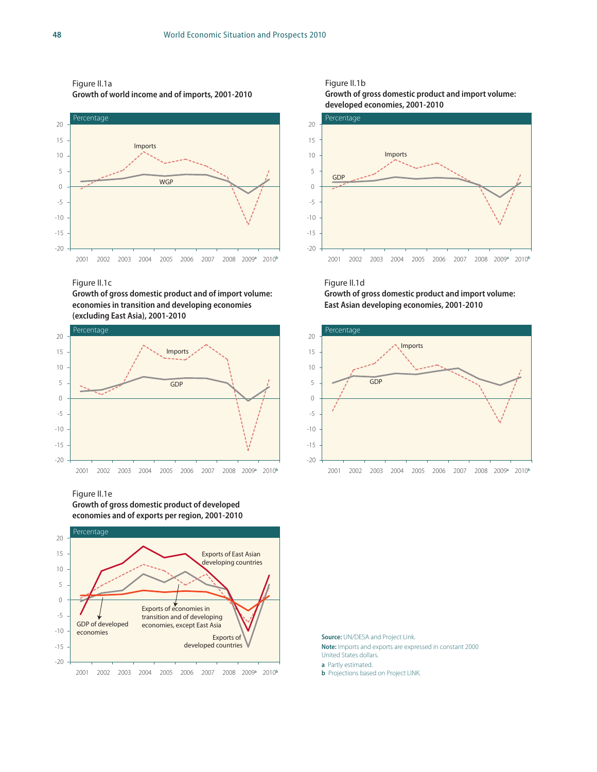### Figure II.1a

**Growth of world income and of imports, 2001-2010**



#### Figure II.1c

**Growth of gross domestic product and of import volume: economies in transition and developing economies (excluding East Asia), 2001-2010**



Figure II.1e **Growth of gross domestic product of developed** 

**economies and of exports per region, 2001-2010**







Figure II.1d **Growth of gross domestic product and import volume: East Asian developing economies, 2001-2010**



**Source:** UN/DESA and Project Link. **Note:** Imports and exports are expressed in constant 2000 United States dollars.

**a** Partly estimated.

**b** Projections based on Project LINK.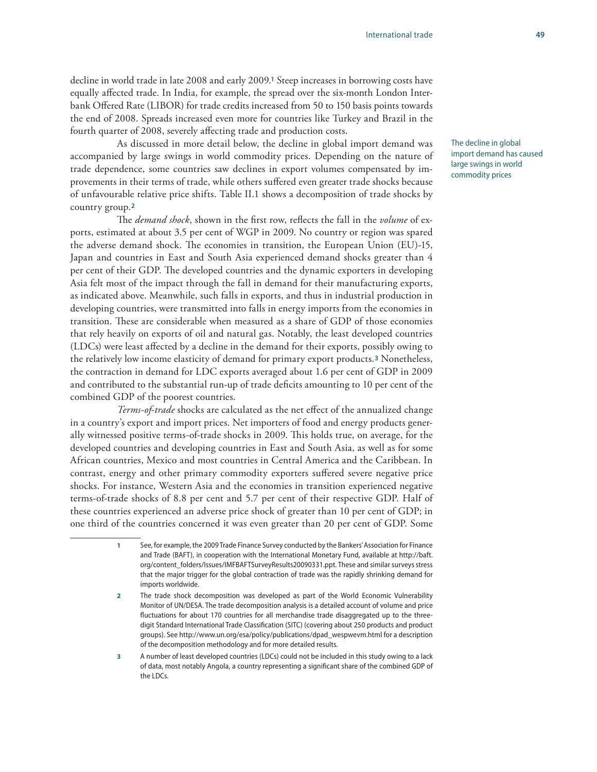decline in world trade in late 2008 and early 2009.**1** Steep increases in borrowing costs have equally affected trade. In India, for example, the spread over the six-month London Interbank Offered Rate (LIBOR) for trade credits increased from 50 to 150 basis points towards the end of 2008. Spreads increased even more for countries like Turkey and Brazil in the fourth quarter of 2008, severely affecting trade and production costs.

As discussed in more detail below, the decline in global import demand was accompanied by large swings in world commodity prices. Depending on the nature of trade dependence, some countries saw declines in export volumes compensated by improvements in their terms of trade, while others suffered even greater trade shocks because of unfavourable relative price shifts. Table II.1 shows a decomposition of trade shocks by country group.**<sup>2</sup>**

The *demand shock*, shown in the first row, reflects the fall in the *volume* of exports, estimated at about 3.5 per cent of WGP in 2009. No country or region was spared the adverse demand shock. The economies in transition, the European Union (EU)-15, Japan and countries in East and South Asia experienced demand shocks greater than 4 per cent of their GDP. The developed countries and the dynamic exporters in developing Asia felt most of the impact through the fall in demand for their manufacturing exports, as indicated above. Meanwhile, such falls in exports, and thus in industrial production in developing countries, were transmitted into falls in energy imports from the economies in transition. These are considerable when measured as a share of GDP of those economies that rely heavily on exports of oil and natural gas. Notably, the least developed countries (LDCs) were least affected by a decline in the demand for their exports, possibly owing to the relatively low income elasticity of demand for primary export products.**3** Nonetheless, the contraction in demand for LDC exports averaged about 1.6 per cent of GDP in 2009 and contributed to the substantial run-up of trade deficits amounting to 10 per cent of the combined GDP of the poorest countries.

*Terms-of-trade* shocks are calculated as the net effect of the annualized change in a country's export and import prices. Net importers of food and energy products generally witnessed positive terms-of-trade shocks in 2009. This holds true, on average, for the developed countries and developing countries in East and South Asia, as well as for some African countries, Mexico and most countries in Central America and the Caribbean. In contrast, energy and other primary commodity exporters suffered severe negative price shocks. For instance, Western Asia and the economies in transition experienced negative terms-of-trade shocks of 8.8 per cent and 5.7 per cent of their respective GDP. Half of these countries experienced an adverse price shock of greater than 10 per cent of GDP; in one third of the countries concerned it was even greater than 20 per cent of GDP. Some

- **1** See, for example, the 2009 Trade Finance Survey conducted by the Bankers' Association for Finance and Trade (BAFT), in cooperation with the International Monetary Fund, available at http://baft. org/content\_folders/Issues/IMFBAFTSurveyResults20090331.ppt. These and similar surveys stress that the major trigger for the global contraction of trade was the rapidly shrinking demand for imports worldwide.
- **2** The trade shock decomposition was developed as part of the World Economic Vulnerability Monitor of UN/DESA. The trade decomposition analysis is a detailed account of volume and price fluctuations for about 170 countries for all merchandise trade disaggregated up to the threedigit Standard International Trade Classification (SITC) (covering about 250 products and product groups). See http://www.un.org/esa/policy/publications/dpad\_wespwevm.html for a description of the decomposition methodology and for more detailed results.
- **3** A number of least developed countries (LDCs) could not be included in this study owing to a lack of data, most notably Angola, a country representing a significant share of the combined GDP of the LDCs.

The decline in global import demand has caused large swings in world commodity prices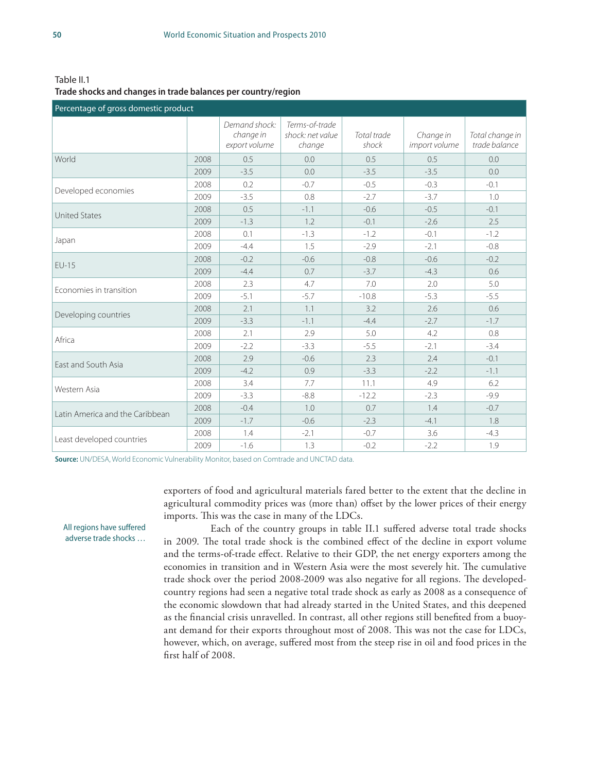Table II.1 **Trade shocks and changes in trade balances per country/region**

| Percentage of gross domestic product |                                                                                                                                                                                                                                                                         |                                             |                                              |                                                                                                                                                                                                                                                                                                                                                                                     |                                                                                                                                                                                                        |                                  |  |  |  |
|--------------------------------------|-------------------------------------------------------------------------------------------------------------------------------------------------------------------------------------------------------------------------------------------------------------------------|---------------------------------------------|----------------------------------------------|-------------------------------------------------------------------------------------------------------------------------------------------------------------------------------------------------------------------------------------------------------------------------------------------------------------------------------------------------------------------------------------|--------------------------------------------------------------------------------------------------------------------------------------------------------------------------------------------------------|----------------------------------|--|--|--|
|                                      |                                                                                                                                                                                                                                                                         | Demand shock:<br>change in<br>export volume | Terms-of-trade<br>shock: net value<br>change | Total trade<br>shock                                                                                                                                                                                                                                                                                                                                                                | Change in<br>import volume                                                                                                                                                                             | Total change in<br>trade balance |  |  |  |
| World                                | 2008                                                                                                                                                                                                                                                                    | 0.5                                         | 0.0                                          | 0.5                                                                                                                                                                                                                                                                                                                                                                                 | 0.5                                                                                                                                                                                                    | 0.0                              |  |  |  |
|                                      | 2009                                                                                                                                                                                                                                                                    | $-3.5$                                      | 0.0                                          | $-3.5$                                                                                                                                                                                                                                                                                                                                                                              | 0.0<br>$-3.5$<br>$-0.3$<br>$-0.1$<br>$-3.7$<br>1.0<br>$-0.5$<br>$-0.1$<br>$-2.6$<br>2.5<br>$-1.2$<br>$-0.1$<br>$-0.8$<br>$-2.1$<br>$-0.6$<br>$-0.2$<br>$-4.3$<br>0.6<br>5.0<br>2.0<br>$-5.3$<br>$-5.5$ |                                  |  |  |  |
|                                      | 2008                                                                                                                                                                                                                                                                    | 0.2                                         | $-0.7$                                       | $-0.5$                                                                                                                                                                                                                                                                                                                                                                              |                                                                                                                                                                                                        |                                  |  |  |  |
| Developed economies                  | 2009                                                                                                                                                                                                                                                                    | $-3.5$                                      | 0.8                                          | $-2.7$<br>$-0.6$<br>$-0.1$<br>$-1.2$<br>$-2.9$<br>$-0.8$<br>$-3.7$<br>7.0<br>$-10.8$<br>0.6<br>3.2<br>2.6<br>$-4.4$<br>$-2.7$<br>$-1.7$<br>4.2<br>0.8<br>5.0<br>$-3.4$<br>$-5.5$<br>$-2.1$<br>2.4<br>$-0.1$<br>2.3<br>$-3.3$<br>$-1.1$<br>$-2.2$<br>6.2<br>11.1<br>4.9<br>$-12.2$<br>$-2.3$<br>$-9.9$<br>0.7<br>$-0.7$<br>1.4<br>1.8<br>$-2.3$<br>$-4.1$<br>$-0.7$<br>3.6<br>$-4.3$ |                                                                                                                                                                                                        |                                  |  |  |  |
| <b>United States</b>                 | 2008<br>0.5<br>2009<br>$-1.3$<br>2008<br>0.1<br>2009<br>$-4.4$<br>2008<br>$-0.2$<br>2009<br>$-4.4$<br>2008<br>2.3<br>2009<br>$-5.1$<br>2008<br>2.1<br>2009<br>$-3.3$<br>2008<br>2.1<br>2009<br>$-2.2$<br>2008<br>2.9<br>2009<br>$-4.2$<br>2008<br>3.4<br>2009<br>$-3.3$ | $-1.1$                                      |                                              |                                                                                                                                                                                                                                                                                                                                                                                     |                                                                                                                                                                                                        |                                  |  |  |  |
|                                      |                                                                                                                                                                                                                                                                         |                                             | 1.2                                          |                                                                                                                                                                                                                                                                                                                                                                                     |                                                                                                                                                                                                        | $-2.2$<br>1.9                    |  |  |  |
|                                      |                                                                                                                                                                                                                                                                         |                                             | $-1.3$                                       |                                                                                                                                                                                                                                                                                                                                                                                     |                                                                                                                                                                                                        |                                  |  |  |  |
| Japan                                |                                                                                                                                                                                                                                                                         |                                             | 1.5                                          |                                                                                                                                                                                                                                                                                                                                                                                     |                                                                                                                                                                                                        |                                  |  |  |  |
| $EU-15$                              |                                                                                                                                                                                                                                                                         |                                             | $-0.6$                                       |                                                                                                                                                                                                                                                                                                                                                                                     |                                                                                                                                                                                                        |                                  |  |  |  |
|                                      |                                                                                                                                                                                                                                                                         |                                             | 0.7                                          |                                                                                                                                                                                                                                                                                                                                                                                     |                                                                                                                                                                                                        |                                  |  |  |  |
| Economies in transition              |                                                                                                                                                                                                                                                                         |                                             | 4.7                                          |                                                                                                                                                                                                                                                                                                                                                                                     |                                                                                                                                                                                                        |                                  |  |  |  |
|                                      |                                                                                                                                                                                                                                                                         |                                             | $-5.7$                                       |                                                                                                                                                                                                                                                                                                                                                                                     |                                                                                                                                                                                                        |                                  |  |  |  |
|                                      |                                                                                                                                                                                                                                                                         |                                             | 1.1<br>$-1.1$                                |                                                                                                                                                                                                                                                                                                                                                                                     |                                                                                                                                                                                                        |                                  |  |  |  |
| Developing countries                 |                                                                                                                                                                                                                                                                         |                                             |                                              |                                                                                                                                                                                                                                                                                                                                                                                     |                                                                                                                                                                                                        |                                  |  |  |  |
| Africa                               |                                                                                                                                                                                                                                                                         |                                             | 2.9                                          |                                                                                                                                                                                                                                                                                                                                                                                     |                                                                                                                                                                                                        |                                  |  |  |  |
|                                      |                                                                                                                                                                                                                                                                         |                                             | $-3.3$                                       |                                                                                                                                                                                                                                                                                                                                                                                     |                                                                                                                                                                                                        |                                  |  |  |  |
| East and South Asia                  |                                                                                                                                                                                                                                                                         |                                             | $-0.6$                                       |                                                                                                                                                                                                                                                                                                                                                                                     |                                                                                                                                                                                                        |                                  |  |  |  |
|                                      |                                                                                                                                                                                                                                                                         |                                             | 0.9                                          |                                                                                                                                                                                                                                                                                                                                                                                     |                                                                                                                                                                                                        |                                  |  |  |  |
| Western Asia                         |                                                                                                                                                                                                                                                                         |                                             | 7.7                                          |                                                                                                                                                                                                                                                                                                                                                                                     |                                                                                                                                                                                                        |                                  |  |  |  |
|                                      |                                                                                                                                                                                                                                                                         |                                             | $-8.8$                                       |                                                                                                                                                                                                                                                                                                                                                                                     |                                                                                                                                                                                                        |                                  |  |  |  |
| Latin America and the Caribbean      | 2008                                                                                                                                                                                                                                                                    | $-0.4$                                      | 1.0                                          |                                                                                                                                                                                                                                                                                                                                                                                     |                                                                                                                                                                                                        |                                  |  |  |  |
|                                      | 2009                                                                                                                                                                                                                                                                    | $-1.7$                                      | $-0.6$                                       |                                                                                                                                                                                                                                                                                                                                                                                     |                                                                                                                                                                                                        |                                  |  |  |  |
|                                      | 2008                                                                                                                                                                                                                                                                    | 1.4                                         | $-2.1$                                       |                                                                                                                                                                                                                                                                                                                                                                                     |                                                                                                                                                                                                        |                                  |  |  |  |
| Least developed countries            | 2009                                                                                                                                                                                                                                                                    | $-1.6$                                      | 1.3                                          | $-0.2$                                                                                                                                                                                                                                                                                                                                                                              |                                                                                                                                                                                                        |                                  |  |  |  |

**Source:** UN/DESA, World Economic Vulnerability Monitor, based on Comtrade and UNCTAD data.

exporters of food and agricultural materials fared better to the extent that the decline in agricultural commodity prices was (more than) offset by the lower prices of their energy imports. This was the case in many of the LDCs.

Each of the country groups in table II.1 suffered adverse total trade shocks in 2009. The total trade shock is the combined effect of the decline in export volume and the terms-of-trade effect. Relative to their GDP, the net energy exporters among the economies in transition and in Western Asia were the most severely hit. The cumulative trade shock over the period 2008-2009 was also negative for all regions. The developedcountry regions had seen a negative total trade shock as early as 2008 as a consequence of the economic slowdown that had already started in the United States, and this deepened as the financial crisis unravelled. In contrast, all other regions still benefited from a buoyant demand for their exports throughout most of 2008. This was not the case for LDCs, however, which, on average, suffered most from the steep rise in oil and food prices in the first half of 2008.

All regions have suffered adverse trade shocks …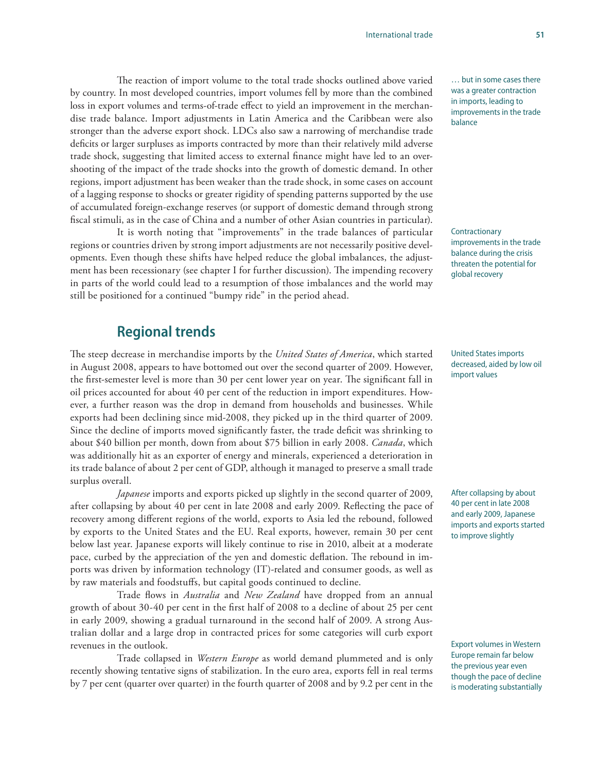The reaction of import volume to the total trade shocks outlined above varied by country. In most developed countries, import volumes fell by more than the combined loss in export volumes and terms-of-trade effect to yield an improvement in the merchandise trade balance. Import adjustments in Latin America and the Caribbean were also stronger than the adverse export shock. LDCs also saw a narrowing of merchandise trade deficits or larger surpluses as imports contracted by more than their relatively mild adverse trade shock, suggesting that limited access to external finance might have led to an overshooting of the impact of the trade shocks into the growth of domestic demand. In other regions, import adjustment has been weaker than the trade shock, in some cases on account of a lagging response to shocks or greater rigidity of spending patterns supported by the use of accumulated foreign-exchange reserves (or support of domestic demand through strong fiscal stimuli, as in the case of China and a number of other Asian countries in particular).

It is worth noting that "improvements" in the trade balances of particular regions or countries driven by strong import adjustments are not necessarily positive developments. Even though these shifts have helped reduce the global imbalances, the adjustment has been recessionary (see chapter I for further discussion). The impending recovery in parts of the world could lead to a resumption of those imbalances and the world may still be positioned for a continued "bumpy ride" in the period ahead.

### **Regional trends**

The steep decrease in merchandise imports by the *United States of America*, which started in August 2008, appears to have bottomed out over the second quarter of 2009. However, the first-semester level is more than 30 per cent lower year on year. The significant fall in oil prices accounted for about 40 per cent of the reduction in import expenditures. However, a further reason was the drop in demand from households and businesses. While exports had been declining since mid-2008, they picked up in the third quarter of 2009. Since the decline of imports moved significantly faster, the trade deficit was shrinking to about \$40 billion per month, down from about \$75 billion in early 2008. *Canada*, which was additionally hit as an exporter of energy and minerals, experienced a deterioration in its trade balance of about 2 per cent of GDP, although it managed to preserve a small trade surplus overall.

*Japanese* imports and exports picked up slightly in the second quarter of 2009, after collapsing by about 40 per cent in late 2008 and early 2009. Reflecting the pace of recovery among different regions of the world, exports to Asia led the rebound, followed by exports to the United States and the EU. Real exports, however, remain 30 per cent below last year. Japanese exports will likely continue to rise in 2010, albeit at a moderate pace, curbed by the appreciation of the yen and domestic deflation. The rebound in imports was driven by information technology (IT)-related and consumer goods, as well as by raw materials and foodstuffs, but capital goods continued to decline.

Trade flows in *Australia* and *New Zealand* have dropped from an annual growth of about 30-40 per cent in the first half of 2008 to a decline of about 25 per cent in early 2009, showing a gradual turnaround in the second half of 2009. A strong Australian dollar and a large drop in contracted prices for some categories will curb export revenues in the outlook.

Trade collapsed in *Western Europe* as world demand plummeted and is only recently showing tentative signs of stabilization. In the euro area, exports fell in real terms by 7 per cent (quarter over quarter) in the fourth quarter of 2008 and by 9.2 per cent in the

… but in some cases there was a greater contraction in imports, leading to improvements in the trade balance

Contractionary improvements in the trade balance during the crisis threaten the potential for global recovery

United States imports decreased, aided by low oil import values

After collapsing by about 40 per cent in late 2008 and early 2009, Japanese imports and exports started to improve slightly

Export volumes in Western Europe remain far below the previous year even though the pace of decline is moderating substantially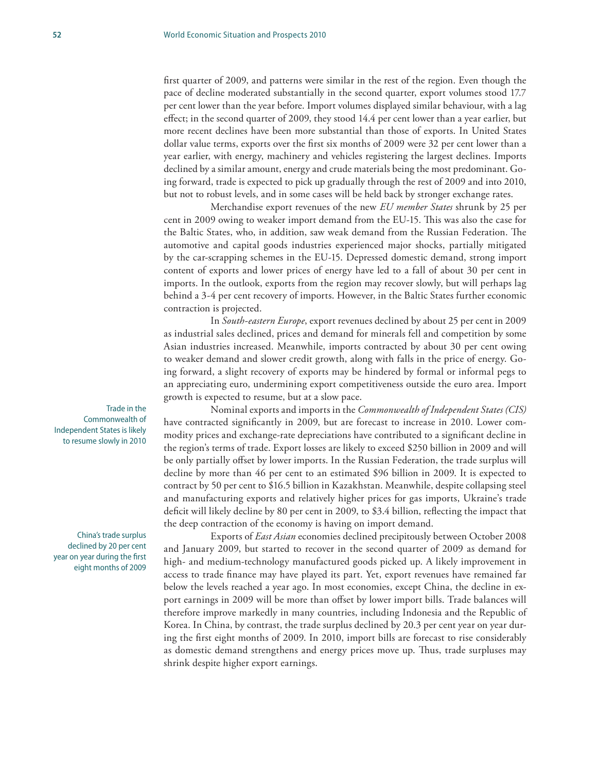first quarter of 2009, and patterns were similar in the rest of the region. Even though the pace of decline moderated substantially in the second quarter, export volumes stood 17.7 per cent lower than the year before. Import volumes displayed similar behaviour, with a lag effect; in the second quarter of 2009, they stood 14.4 per cent lower than a year earlier, but more recent declines have been more substantial than those of exports. In United States dollar value terms, exports over the first six months of 2009 were 32 per cent lower than a year earlier, with energy, machinery and vehicles registering the largest declines. Imports declined by a similar amount, energy and crude materials being the most predominant. Going forward, trade is expected to pick up gradually through the rest of 2009 and into 2010, but not to robust levels, and in some cases will be held back by stronger exchange rates.

Merchandise export revenues of the new *EU member States* shrunk by 25 per cent in 2009 owing to weaker import demand from the EU-15. This was also the case for the Baltic States, who, in addition, saw weak demand from the Russian Federation. The automotive and capital goods industries experienced major shocks, partially mitigated by the car-scrapping schemes in the EU-15. Depressed domestic demand, strong import content of exports and lower prices of energy have led to a fall of about 30 per cent in imports. In the outlook, exports from the region may recover slowly, but will perhaps lag behind a 3-4 per cent recovery of imports. However, in the Baltic States further economic contraction is projected.

In *South-eastern Europe*, export revenues declined by about 25 per cent in 2009 as industrial sales declined, prices and demand for minerals fell and competition by some Asian industries increased. Meanwhile, imports contracted by about 30 per cent owing to weaker demand and slower credit growth, along with falls in the price of energy. Going forward, a slight recovery of exports may be hindered by formal or informal pegs to an appreciating euro, undermining export competitiveness outside the euro area. Import growth is expected to resume, but at a slow pace.

Nominal exports and imports in the *Commonwealth of Independent States (CIS)*  have contracted significantly in 2009, but are forecast to increase in 2010. Lower commodity prices and exchange-rate depreciations have contributed to a significant decline in the region's terms of trade. Export losses are likely to exceed \$250 billion in 2009 and will be only partially offset by lower imports. In the Russian Federation, the trade surplus will decline by more than 46 per cent to an estimated \$96 billion in 2009. It is expected to contract by 50 per cent to \$16.5 billion in Kazakhstan. Meanwhile, despite collapsing steel and manufacturing exports and relatively higher prices for gas imports, Ukraine's trade deficit will likely decline by 80 per cent in 2009, to \$3.4 billion, reflecting the impact that the deep contraction of the economy is having on import demand.

Exports of *East Asian* economies declined precipitously between October 2008 and January 2009, but started to recover in the second quarter of 2009 as demand for high- and medium-technology manufactured goods picked up. A likely improvement in access to trade finance may have played its part. Yet, export revenues have remained far below the levels reached a year ago. In most economies, except China, the decline in export earnings in 2009 will be more than offset by lower import bills. Trade balances will therefore improve markedly in many countries, including Indonesia and the Republic of Korea. In China, by contrast, the trade surplus declined by 20.3 per cent year on year during the first eight months of 2009. In 2010, import bills are forecast to rise considerably as domestic demand strengthens and energy prices move up. Thus, trade surpluses may shrink despite higher export earnings.

Trade in the Commonwealth of Independent States is likely to resume slowly in 2010

China's trade surplus declined by 20 per cent year on year during the first eight months of 2009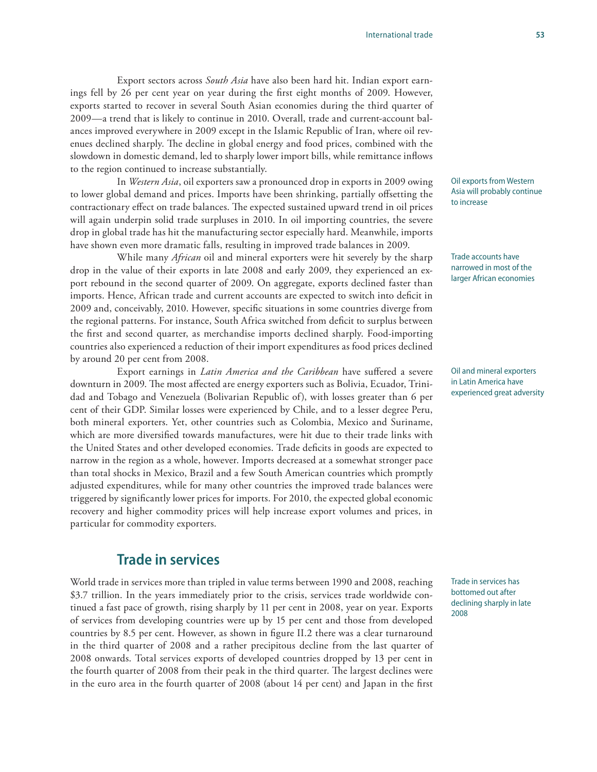Export sectors across *South Asia* have also been hard hit. Indian export earnings fell by 26 per cent year on year during the first eight months of 2009. However, exports started to recover in several South Asian economies during the third quarter of 2009—a trend that is likely to continue in 2010. Overall, trade and current-account balances improved everywhere in 2009 except in the Islamic Republic of Iran, where oil revenues declined sharply. The decline in global energy and food prices, combined with the slowdown in domestic demand, led to sharply lower import bills, while remittance inflows to the region continued to increase substantially.

In *Western Asia*, oil exporters saw a pronounced drop in exports in 2009 owing to lower global demand and prices. Imports have been shrinking, partially offsetting the contractionary effect on trade balances. The expected sustained upward trend in oil prices will again underpin solid trade surpluses in 2010. In oil importing countries, the severe drop in global trade has hit the manufacturing sector especially hard. Meanwhile, imports have shown even more dramatic falls, resulting in improved trade balances in 2009.

While many *African* oil and mineral exporters were hit severely by the sharp drop in the value of their exports in late 2008 and early 2009, they experienced an export rebound in the second quarter of 2009. On aggregate, exports declined faster than imports. Hence, African trade and current accounts are expected to switch into deficit in 2009 and, conceivably, 2010. However, specific situations in some countries diverge from the regional patterns. For instance, South Africa switched from deficit to surplus between the first and second quarter, as merchandise imports declined sharply. Food-importing countries also experienced a reduction of their import expenditures as food prices declined by around 20 per cent from 2008.

Export earnings in *Latin America and the Caribbean* have suffered a severe downturn in 2009. The most affected are energy exporters such as Bolivia, Ecuador, Trinidad and Tobago and Venezuela (Bolivarian Republic of), with losses greater than 6 per cent of their GDP. Similar losses were experienced by Chile, and to a lesser degree Peru, both mineral exporters. Yet, other countries such as Colombia, Mexico and Suriname, which are more diversified towards manufactures, were hit due to their trade links with the United States and other developed economies. Trade deficits in goods are expected to narrow in the region as a whole, however. Imports decreased at a somewhat stronger pace than total shocks in Mexico, Brazil and a few South American countries which promptly adjusted expenditures, while for many other countries the improved trade balances were triggered by significantly lower prices for imports. For 2010, the expected global economic recovery and higher commodity prices will help increase export volumes and prices, in particular for commodity exporters.

### **Trade in services**

World trade in services more than tripled in value terms between 1990 and 2008, reaching \$3.7 trillion. In the years immediately prior to the crisis, services trade worldwide continued a fast pace of growth, rising sharply by 11 per cent in 2008, year on year. Exports of services from developing countries were up by 15 per cent and those from developed countries by 8.5 per cent. However, as shown in figure II.2 there was a clear turnaround in the third quarter of 2008 and a rather precipitous decline from the last quarter of 2008 onwards. Total services exports of developed countries dropped by 13 per cent in the fourth quarter of 2008 from their peak in the third quarter. The largest declines were in the euro area in the fourth quarter of 2008 (about 14 per cent) and Japan in the first

Oil exports from Western Asia will probably continue to increase

Trade accounts have narrowed in most of the larger African economies

Oil and mineral exporters in Latin America have experienced great adversity

Trade in services has bottomed out after declining sharply in late 2008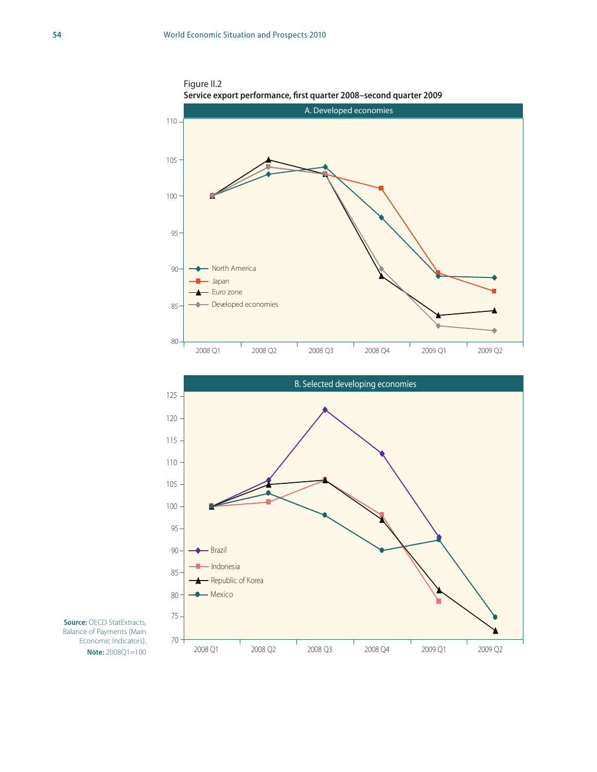



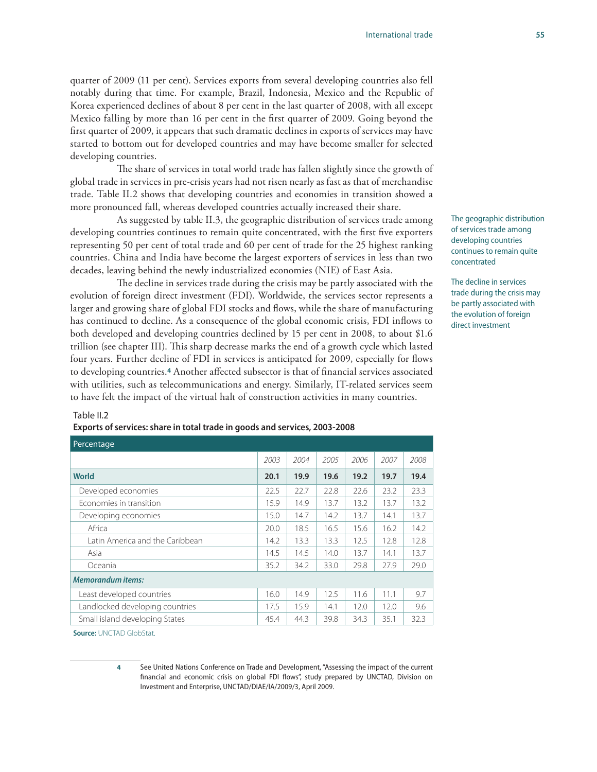quarter of 2009 (11 per cent). Services exports from several developing countries also fell notably during that time. For example, Brazil, Indonesia, Mexico and the Republic of Korea experienced declines of about 8 per cent in the last quarter of 2008, with all except Mexico falling by more than 16 per cent in the first quarter of 2009. Going beyond the first quarter of 2009, it appears that such dramatic declines in exports of services may have started to bottom out for developed countries and may have become smaller for selected developing countries.

The share of services in total world trade has fallen slightly since the growth of global trade in services in pre-crisis years had not risen nearly as fast as that of merchandise trade. Table II.2 shows that developing countries and economies in transition showed a more pronounced fall, whereas developed countries actually increased their share.

As suggested by table II.3, the geographic distribution of services trade among developing countries continues to remain quite concentrated, with the first five exporters representing 50 per cent of total trade and 60 per cent of trade for the 25 highest ranking countries. China and India have become the largest exporters of services in less than two decades, leaving behind the newly industrialized economies (NIE) of East Asia.

The decline in services trade during the crisis may be partly associated with the evolution of foreign direct investment (FDI). Worldwide, the services sector represents a larger and growing share of global FDI stocks and flows, while the share of manufacturing has continued to decline. As a consequence of the global economic crisis, FDI inflows to both developed and developing countries declined by 15 per cent in 2008, to about \$1.6 trillion (see chapter III). This sharp decrease marks the end of a growth cycle which lasted four years. Further decline of FDI in services is anticipated for 2009, especially for flows to developing countries.**4** Another affected subsector is that of financial services associated with utilities, such as telecommunications and energy. Similarly, IT-related services seem to have felt the impact of the virtual halt of construction activities in many countries.

The geographic distribution of services trade among developing countries continues to remain quite concentrated

The decline in services trade during the crisis may be partly associated with the evolution of foreign direct investment

#### Table II.2

**Percentage** 

#### **Exports of services: share in total trade in goods and services, 2003-2008**

| . Crediturge                    |      |      |      |      |      |      |  |
|---------------------------------|------|------|------|------|------|------|--|
|                                 | 2003 | 2004 | 2005 | 2006 | 2007 | 2008 |  |
| <b>World</b>                    | 20.1 | 19.9 | 19.6 | 19.2 | 19.7 | 19.4 |  |
| Developed economies             | 22.5 | 22.7 | 22.8 | 22.6 | 23.2 | 23.3 |  |
| Economies in transition         | 15.9 | 14.9 | 13.7 | 13.2 | 13.7 | 13.2 |  |
| Developing economies            | 15.0 | 14.7 | 14.2 | 13.7 | 14.1 | 13.7 |  |
| Africa                          | 20.0 | 18.5 | 16.5 | 15.6 | 16.2 | 14.2 |  |
| Latin America and the Caribbean | 14.2 | 13.3 | 13.3 | 12.5 | 12.8 | 12.8 |  |
| Asia                            | 14.5 | 14.5 | 14.0 | 13.7 | 14.1 | 13.7 |  |
| Oceania                         | 35.2 | 34.2 | 33.0 | 29.8 | 27.9 | 29.0 |  |
| <b>Memorandum items:</b>        |      |      |      |      |      |      |  |
| Least developed countries       | 16.0 | 14.9 | 12.5 | 11.6 | 11.1 | 9.7  |  |
| Landlocked developing countries |      | 15.9 | 14.1 | 12.0 | 12.0 | 9.6  |  |
| Small island developing States  |      | 44.3 | 39.8 | 34.3 | 35.1 | 32.3 |  |

**Source:** UNCTAD GlobStat.

**4** See United Nations Conference on Trade and Development, "Assessing the impact of the current financial and economic crisis on global FDI flows", study prepared by UNCTAD, Division on Investment and Enterprise, UNCTAD/DIAE/IA/2009/3, April 2009.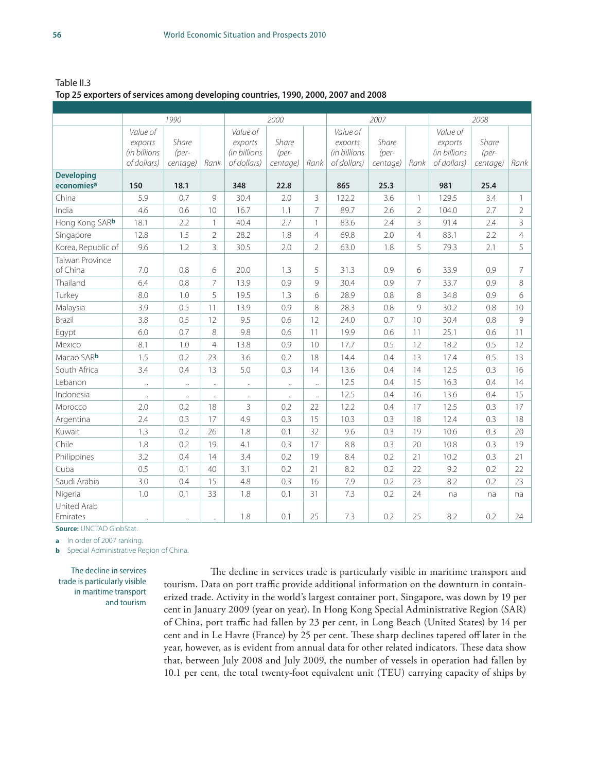Table II.3 **Top 25 exporters of services among developing countries, 1990, 2000, 2007 and 2008**

|                                             | 1990                                               |                            |                      | 2000                                               |                            |                      | 2007                                               |                            |                | 2008                                               |                            |                |
|---------------------------------------------|----------------------------------------------------|----------------------------|----------------------|----------------------------------------------------|----------------------------|----------------------|----------------------------------------------------|----------------------------|----------------|----------------------------------------------------|----------------------------|----------------|
|                                             | Value of<br>exports<br>(in billions<br>of dollars) | Share<br>(per-<br>centage) | Rank                 | Value of<br>exports<br>(in billions<br>of dollars) | Share<br>(per-<br>centage) | Rank                 | Value of<br>exports<br>(in billions<br>of dollars) | Share<br>(per-<br>centage) | Rank           | Value of<br>exports<br>(in billions<br>of dollars) | Share<br>(per-<br>centage) | Rank           |
| <b>Developing</b><br>economies <sup>a</sup> | 150                                                | 18.1                       |                      | 348                                                | 22.8                       |                      | 865                                                | 25.3                       |                | 981                                                | 25.4                       |                |
| China                                       | 5.9                                                | 0.7                        | 9                    | 30.4                                               | 2.0                        | 3                    | 122.2                                              | 3.6                        | $\mathbf{1}$   | 129.5                                              | 3.4                        | 1              |
| India                                       | 4.6                                                | 0.6                        | 10                   | 16.7                                               | 1.1                        | $\overline{7}$       | 89.7                                               | 2.6                        | $\overline{2}$ | 104.0                                              | 2.7                        | $\overline{2}$ |
| Hong Kong SARb                              | 18.1                                               | 2.2                        | $\mathbf{1}$         | 40.4                                               | 2.7                        | $\mathbf{1}$         | 83.6                                               | 2.4                        | 3              | 91.4                                               | 2.4                        | 3              |
| Singapore                                   | 12.8                                               | 1.5                        | $\overline{2}$       | 28.2                                               | 1.8                        | $\overline{4}$       | 69.8                                               | 2.0                        | $\overline{4}$ | 83.1                                               | 2.2                        | $\overline{4}$ |
| Korea, Republic of                          | 9.6                                                | 1.2                        | 3                    | 30.5                                               | 2.0                        | $\overline{2}$       | 63.0                                               | 1.8                        | 5              | 79.3                                               | 2.1                        | 5              |
| <b>Taiwan Province</b><br>of China          | 7.0                                                | 0.8                        | 6                    | 20.0                                               | 1.3                        | 5                    | 31.3                                               | 0.9                        | 6              | 33.9                                               | 0.9                        | 7              |
| Thailand                                    | 6.4                                                | 0.8                        | $\overline{7}$       | 13.9                                               | 0.9                        | $\circ$              | 30.4                                               | 0.9                        | 7              | 33.7                                               | 0.9                        | 8              |
| Turkey                                      | 8.0                                                | 1.0                        | 5                    | 19.5                                               | 1.3                        | 6                    | 28.9                                               | 0.8                        | 8              | 34.8                                               | 0.9                        | 6              |
| Malaysia                                    | 3.9                                                | 0.5                        | 11                   | 13.9                                               | 0.9                        | 8                    | 28.3                                               | 0.8                        | $\mathcal{Q}$  | 30.2                                               | 0.8                        | 10             |
| Brazil                                      | 3.8                                                | 0.5                        | 12                   | 9.5                                                | 0.6                        | 12                   | 24.0                                               | 0.7                        | 10             | 30.4                                               | 0.8                        | 9              |
| Egypt                                       | 6.0                                                | 0.7                        | 8                    | 9.8                                                | 0.6                        | 11                   | 19.9                                               | 0.6                        | 11             | 25.1                                               | 0.6                        | 11             |
| Mexico                                      | 8.1                                                | 1.0                        | $\overline{4}$       | 13.8                                               | 0.9                        | 10                   | 17.7                                               | 0.5                        | 12             | 18.2                                               | 0.5                        | 12             |
| Macao SARb                                  | 1.5                                                | 0.2                        | 23                   | 3.6                                                | 0.2                        | 18                   | 14.4                                               | 0.4                        | 13             | 17.4                                               | 0.5                        | 13             |
| South Africa                                | 3.4                                                | 0.4                        | 13                   | 5.0                                                | 0.3                        | 14                   | 13.6                                               | 0.4                        | 14             | 12.5                                               | 0.3                        | 16             |
| Lebanon                                     | $\ldots$                                           | $\ddotsc$                  | $\ddot{\phantom{1}}$ | $\ddotsc$                                          | $\ddotsc$                  | $\ddot{\phantom{a}}$ | 12.5                                               | 0.4                        | 15             | 16.3                                               | 0.4                        | 14             |
| Indonesia                                   | $\ddotsc$                                          | $\ddotsc$                  | $\ddot{\phantom{a}}$ | $\ddotsc$                                          | $\ddot{\phantom{a}}$       | $\ddot{\phantom{a}}$ | 12.5                                               | 0.4                        | 16             | 13.6                                               | 0.4                        | 15             |
| Morocco                                     | 2.0                                                | 0.2                        | 18                   | 3                                                  | 0.2                        | 22                   | 12.2                                               | 0.4                        | 17             | 12.5                                               | 0.3                        | 17             |
| Argentina                                   | 2.4                                                | 0.3                        | 17                   | 4.9                                                | 0.3                        | 15                   | 10.3                                               | 0.3                        | 18             | 12.4                                               | 0.3                        | 18             |
| Kuwait                                      | 1.3                                                | 0.2                        | 26                   | 1.8                                                | 0.1                        | 32                   | 9.6                                                | 0.3                        | 19             | 10.6                                               | 0.3                        | 20             |
| Chile                                       | 1.8                                                | 0.2                        | 19                   | 4.1                                                | 0.3                        | 17                   | 8.8                                                | 0.3                        | 20             | 10.8                                               | 0.3                        | 19             |
| Philippines                                 | 3.2                                                | 0.4                        | 14                   | 3.4                                                | 0.2                        | 19                   | 8.4                                                | 0.2                        | 21             | 10.2                                               | 0.3                        | 21             |
| Cuba                                        | 0.5                                                | 0.1                        | 40                   | 3.1                                                | 0.2                        | 21                   | 8.2                                                | 0.2                        | 22             | 9.2                                                | 0.2                        | 22             |
| Saudi Arabia                                | 3.0                                                | 0.4                        | 15                   | 4.8                                                | 0.3                        | 16                   | 7.9                                                | 0.2                        | 23             | 8.2                                                | 0.2                        | 23             |
| Nigeria                                     | 1.0                                                | 0.1                        | 33                   | 1.8                                                | 0.1                        | 31                   | 7.3                                                | 0.2                        | 24             | na                                                 | na                         | na             |
| United Arab<br>Emirates                     | $\ddotsc$                                          | $\ddot{\phantom{a}}$       | $\ddot{\phantom{a}}$ | 1.8                                                | 0.1                        | 25                   | 7.3                                                | 0.2                        | 25             | 8.2                                                | 0.2                        | 24             |

**Source:** UNCTAD GlobStat.

**a** In order of 2007 ranking.

**b** Special Administrative Region of China.

The decline in services trade is particularly visible in maritime transport and tourism

The decline in services trade is particularly visible in maritime transport and tourism. Data on port traffic provide additional information on the downturn in containerized trade. Activity in the world's largest container port, Singapore, was down by 19 per cent in January 2009 (year on year). In Hong Kong Special Administrative Region (SAR) of China, port traffic had fallen by 23 per cent, in Long Beach (United States) by 14 per cent and in Le Havre (France) by 25 per cent. These sharp declines tapered off later in the year, however, as is evident from annual data for other related indicators. These data show that, between July 2008 and July 2009, the number of vessels in operation had fallen by 10.1 per cent, the total twenty-foot equivalent unit (TEU) carrying capacity of ships by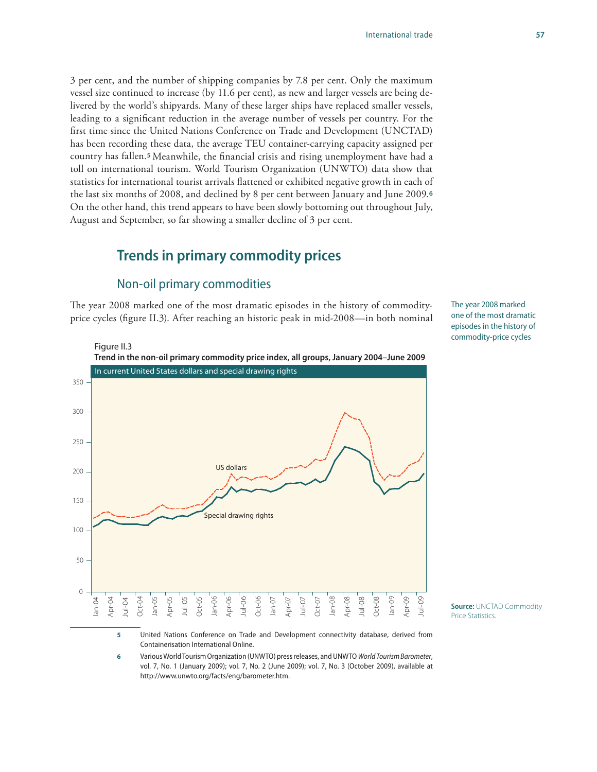3 per cent, and the number of shipping companies by 7.8 per cent. Only the maximum vessel size continued to increase (by 11.6 per cent), as new and larger vessels are being delivered by the world's shipyards. Many of these larger ships have replaced smaller vessels, leading to a significant reduction in the average number of vessels per country. For the first time since the United Nations Conference on Trade and Development (UNCTAD) has been recording these data, the average TEU container-carrying capacity assigned per country has fallen.**<sup>5</sup>** Meanwhile, the financial crisis and rising unemployment have had a toll on international tourism. World Tourism Organization (UNWTO) data show that statistics for international tourist arrivals flattened or exhibited negative growth in each of the last six months of 2008, and declined by 8 per cent between January and June 2009.**<sup>6</sup>** On the other hand, this trend appears to have been slowly bottoming out throughout July, August and September, so far showing a smaller decline of 3 per cent.

## **Trends in primary commodity prices**

### Non-oil primary commodities

The year 2008 marked one of the most dramatic episodes in the history of commodityprice cycles (figure II.3). After reaching an historic peak in mid-2008—in both nominal The year 2008 marked one of the most dramatic episodes in the history of commodity-price cycles



**6** Various World Tourism Organization (UNWTO) press releases, and UNWTO *World Tourism Barometer*, vol. 7, No. 1 (January 2009); vol. 7, No. 2 (June 2009); vol. 7, No. 3 (October 2009), available at

http://www.unwto.org/facts/eng/barometer.htm.

**Source:** UNCTAD Commodity Price Statistics.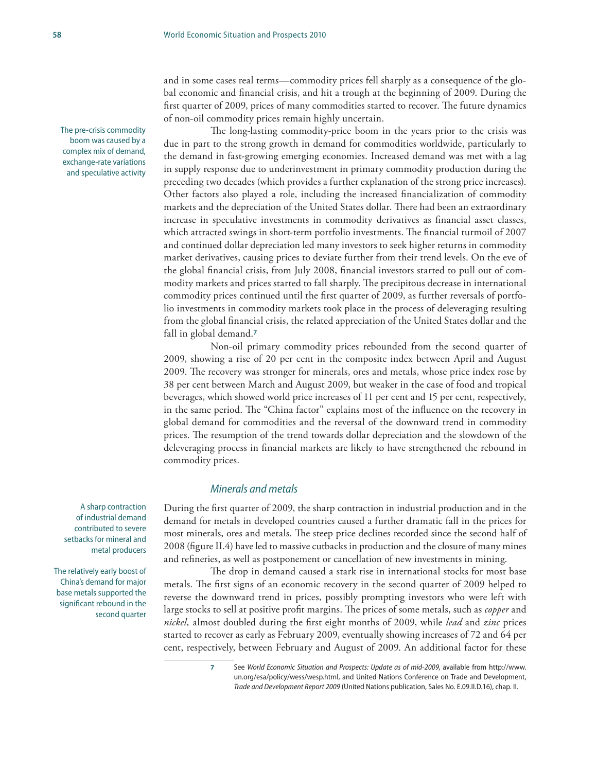and in some cases real terms—commodity prices fell sharply as a consequence of the global economic and financial crisis, and hit a trough at the beginning of 2009. During the first quarter of 2009, prices of many commodities started to recover. The future dynamics of non-oil commodity prices remain highly uncertain.

The long-lasting commodity-price boom in the years prior to the crisis was due in part to the strong growth in demand for commodities worldwide, particularly to the demand in fast-growing emerging economies. Increased demand was met with a lag in supply response due to underinvestment in primary commodity production during the preceding two decades (which provides a further explanation of the strong price increases). Other factors also played a role, including the increased financialization of commodity markets and the depreciation of the United States dollar. There had been an extraordinary increase in speculative investments in commodity derivatives as financial asset classes, which attracted swings in short-term portfolio investments. The financial turmoil of 2007 and continued dollar depreciation led many investors to seek higher returns in commodity market derivatives, causing prices to deviate further from their trend levels. On the eve of the global financial crisis, from July 2008, financial investors started to pull out of commodity markets and prices started to fall sharply. The precipitous decrease in international commodity prices continued until the first quarter of 2009, as further reversals of portfolio investments in commodity markets took place in the process of deleveraging resulting from the global financial crisis, the related appreciation of the United States dollar and the fall in global demand.**<sup>7</sup>**

Non-oil primary commodity prices rebounded from the second quarter of 2009, showing a rise of 20 per cent in the composite index between April and August 2009. The recovery was stronger for minerals, ores and metals, whose price index rose by 38 per cent between March and August 2009, but weaker in the case of food and tropical beverages, which showed world price increases of 11 per cent and 15 per cent, respectively, in the same period. The "China factor" explains most of the influence on the recovery in global demand for commodities and the reversal of the downward trend in commodity prices. The resumption of the trend towards dollar depreciation and the slowdown of the deleveraging process in financial markets are likely to have strengthened the rebound in commodity prices.

### *Minerals and metals*

During the first quarter of 2009, the sharp contraction in industrial production and in the demand for metals in developed countries caused a further dramatic fall in the prices for most minerals, ores and metals. The steep price declines recorded since the second half of 2008 (figure II.4) have led to massive cutbacks in production and the closure of many mines and refineries, as well as postponement or cancellation of new investments in mining.

The drop in demand caused a stark rise in international stocks for most base metals. The first signs of an economic recovery in the second quarter of 2009 helped to reverse the downward trend in prices, possibly prompting investors who were left with large stocks to sell at positive profit margins. The prices of some metals, such as *copper* and *nickel,* almost doubled during the first eight months of 2009, while *lead* and *zinc* prices started to recover as early as February 2009, eventually showing increases of 72 and 64 per cent, respectively, between February and August of 2009. An additional factor for these

A sharp contraction of industrial demand contributed to severe setbacks for mineral and metal producers

The relatively early boost of China's demand for major base metals supported the significant rebound in the second quarter

The pre-crisis commodity boom was caused by a complex mix of demand, exchange-rate variations and speculative activity

**<sup>7</sup>** See *World Economic Situation and Prospects: Update as of mid-2009,* available from [http://www.](http://www.un.org/en/development/desa/policy/wesp/index.shtml) [un.org/esa/policy/wess/wesp.html,](http://www.un.org/en/development/desa/policy/wesp/index.shtml) and United Nations Conference on Trade and Development, *Trade and Development Report 2009* (United Nations publication, Sales No. E.09.II.D.16), chap. II.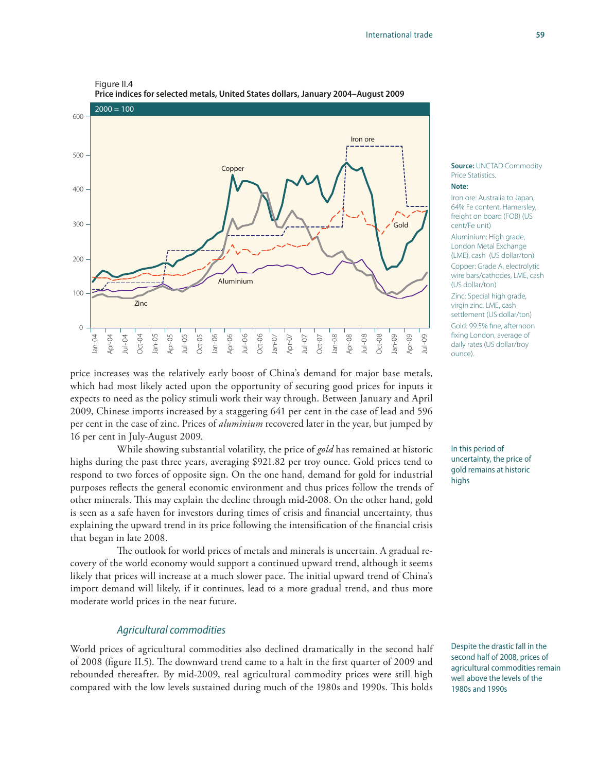#### Figure II.4



**Price indices for selected metals, United States dollars, January 2004–August 2009** 

price increases was the relatively early boost of China's demand for major base metals, which had most likely acted upon the opportunity of securing good prices for inputs it expects to need as the policy stimuli work their way through. Between January and April 2009, Chinese imports increased by a staggering 641 per cent in the case of lead and 596 per cent in the case of zinc. Prices of *aluminium* recovered later in the year, but jumped by 16 per cent in July-August 2009.

While showing substantial volatility, the price of *gold* has remained at historic highs during the past three years, averaging \$921.82 per troy ounce. Gold prices tend to respond to two forces of opposite sign. On the one hand, demand for gold for industrial purposes reflects the general economic environment and thus prices follow the trends of other minerals. This may explain the decline through mid-2008. On the other hand, gold is seen as a safe haven for investors during times of crisis and financial uncertainty, thus explaining the upward trend in its price following the intensification of the financial crisis that began in late 2008.

The outlook for world prices of metals and minerals is uncertain. A gradual recovery of the world economy would support a continued upward trend, although it seems likely that prices will increase at a much slower pace. The initial upward trend of China's import demand will likely, if it continues, lead to a more gradual trend, and thus more moderate world prices in the near future.

#### *Agricultural commodities*

World prices of agricultural commodities also declined dramatically in the second half of 2008 (figure II.5). The downward trend came to a halt in the first quarter of 2009 and rebounded thereafter. By mid-2009, real agricultural commodity prices were still high compared with the low levels sustained during much of the 1980s and 1990s. This holds

**Source:** UNCTAD Commodity Price Statistics.

#### **Note:**

Iron ore: Australia to Japan, 64% Fe content, Hamersley, freight on board (FOB) (US cent/Fe unit)

Aluminium: High grade, London Metal Exchange (LME), cash (US dollar/ton) Copper: Grade A, electrolytic wire bars/cathodes, LME, cash (US dollar/ton)

Zinc: Special high grade, virgin zinc, LME, cash settlement (US dollar/ton) Gold: 99.5% fine, afternoon fixing London, average of daily rates (US dollar/troy ounce).

In this period of uncertainty, the price of gold remains at historic highs

Despite the drastic fall in the second half of 2008, prices of agricultural commodities remain well above the levels of the 1980s and 1990s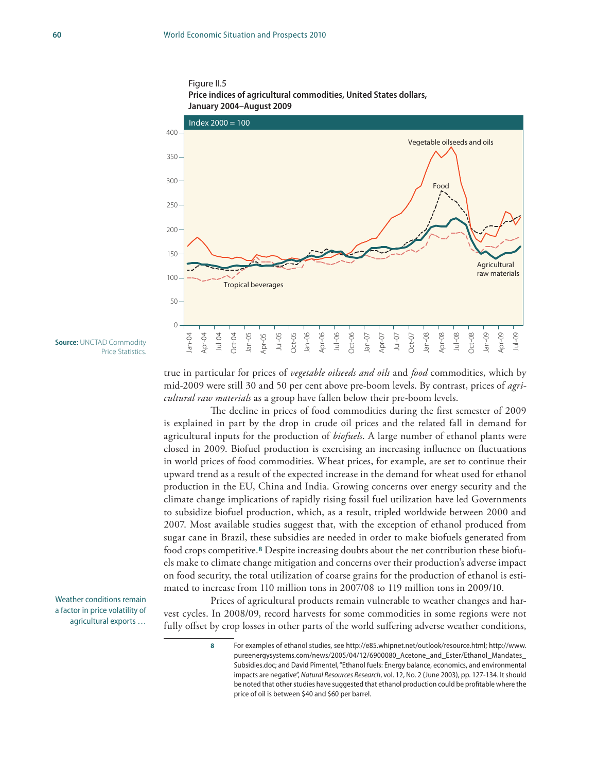



true in particular for prices of *vegetable oilseeds and oils* and *food* commodities, which by mid-2009 were still 30 and 50 per cent above pre-boom levels. By contrast, prices of *agricultural raw materials* as a group have fallen below their pre-boom levels.

The decline in prices of food commodities during the first semester of 2009 is explained in part by the drop in crude oil prices and the related fall in demand for agricultural inputs for the production of *biofuels*. A large number of ethanol plants were closed in 2009. Biofuel production is exercising an increasing influence on fluctuations in world prices of food commodities. Wheat prices, for example, are set to continue their upward trend as a result of the expected increase in the demand for wheat used for ethanol production in the EU, China and India. Growing concerns over energy security and the climate change implications of rapidly rising fossil fuel utilization have led Governments to subsidize biofuel production, which, as a result, tripled worldwide between 2000 and 2007. Most available studies suggest that, with the exception of ethanol produced from sugar cane in Brazil, these subsidies are needed in order to make biofuels generated from food crops competitive.**8** Despite increasing doubts about the net contribution these biofuels make to climate change mitigation and concerns over their production's adverse impact on food security, the total utilization of coarse grains for the production of ethanol is estimated to increase from 110 million tons in 2007/08 to 119 million tons in 2009/10.

Prices of agricultural products remain vulnerable to weather changes and harvest cycles. In 2008/09, record harvests for some commodities in some regions were not fully offset by crop losses in other parts of the world suffering adverse weather conditions,

**Source:** UNCTAD Commodity Price Statistics.

Weather conditions remain a factor in price volatility of agricultural exports …

**<sup>8</sup>** For examples of ethanol studies, see http://e85.whipnet.net/outlook/resource.html; http://www. pureenergysystems.com/news/2005/04/12/6900080\_Acetone\_and\_Ester/Ethanol\_Mandates\_ Subsidies.doc; and David Pimentel, "Ethanol fuels: Energy balance, economics, and environmental impacts are negative", *Natural Resources Research*, vol. 12, No. 2 (June 2003), pp. 127-134. It should be noted that other studies have suggested that ethanol production could be profitable where the price of oil is between \$40 and \$60 per barrel.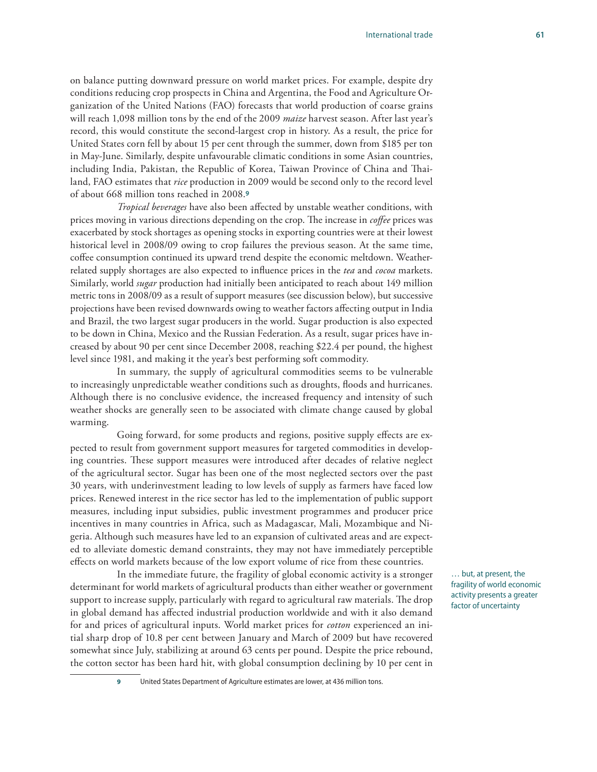on balance putting downward pressure on world market prices. For example, despite dry conditions reducing crop prospects in China and Argentina, the Food and Agriculture Organization of the United Nations (FAO) forecasts that world production of coarse grains will reach 1,098 million tons by the end of the 2009 *maize* harvest season. After last year's record, this would constitute the second-largest crop in history. As a result, the price for United States corn fell by about 15 per cent through the summer, down from \$185 per ton in May-June. Similarly, despite unfavourable climatic conditions in some Asian countries, including India, Pakistan, the Republic of Korea, Taiwan Province of China and Thailand, FAO estimates that *rice* production in 2009 would be second only to the record level of about 668 million tons reached in 2008.**<sup>9</sup>**

*Tropical beverages* have also been affected by unstable weather conditions, with prices moving in various directions depending on the crop. The increase in *coffee* prices was exacerbated by stock shortages as opening stocks in exporting countries were at their lowest historical level in 2008/09 owing to crop failures the previous season. At the same time, coffee consumption continued its upward trend despite the economic meltdown. Weatherrelated supply shortages are also expected to influence prices in the *tea* and *cocoa* markets. Similarly, world *sugar* production had initially been anticipated to reach about 149 million metric tons in 2008/09 as a result of support measures (see discussion below), but successive projections have been revised downwards owing to weather factors affecting output in India and Brazil, the two largest sugar producers in the world. Sugar production is also expected to be down in China, Mexico and the Russian Federation. As a result, sugar prices have increased by about 90 per cent since December 2008, reaching \$22.4 per pound, the highest level since 1981, and making it the year's best performing soft commodity.

In summary, the supply of agricultural commodities seems to be vulnerable to increasingly unpredictable weather conditions such as droughts, floods and hurricanes. Although there is no conclusive evidence, the increased frequency and intensity of such weather shocks are generally seen to be associated with climate change caused by global warming.

Going forward, for some products and regions, positive supply effects are expected to result from government support measures for targeted commodities in developing countries. These support measures were introduced after decades of relative neglect of the agricultural sector. Sugar has been one of the most neglected sectors over the past 30 years, with underinvestment leading to low levels of supply as farmers have faced low prices. Renewed interest in the rice sector has led to the implementation of public support measures, including input subsidies, public investment programmes and producer price incentives in many countries in Africa, such as Madagascar, Mali, Mozambique and Nigeria. Although such measures have led to an expansion of cultivated areas and are expected to alleviate domestic demand constraints, they may not have immediately perceptible effects on world markets because of the low export volume of rice from these countries.

In the immediate future, the fragility of global economic activity is a stronger determinant for world markets of agricultural products than either weather or government support to increase supply, particularly with regard to agricultural raw materials. The drop in global demand has affected industrial production worldwide and with it also demand for and prices of agricultural inputs. World market prices for *cotton* experienced an initial sharp drop of 10.8 per cent between January and March of 2009 but have recovered somewhat since July, stabilizing at around 63 cents per pound. Despite the price rebound, the cotton sector has been hard hit, with global consumption declining by 10 per cent in

… but, at present, the fragility of world economic activity presents a greater factor of uncertainty

**9** United States Department of Agriculture estimates are lower, at 436 million tons.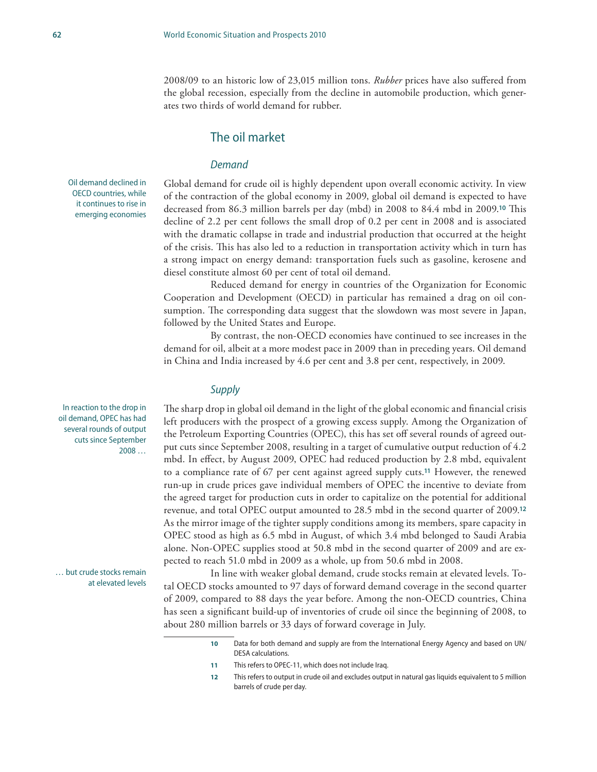2008/09 to an historic low of 23,015 million tons. *Rubber* prices have also suffered from the global recession, especially from the decline in automobile production, which generates two thirds of world demand for rubber.

### The oil market

#### *Demand*

Oil demand declined in OECD countries, while it continues to rise in emerging economies

Global demand for crude oil is highly dependent upon overall economic activity. In view of the contraction of the global economy in 2009, global oil demand is expected to have decreased from 86.3 million barrels per day (mbd) in 2008 to 84.4 mbd in 2009.**10** This decline of 2.2 per cent follows the small drop of 0.2 per cent in 2008 and is associated with the dramatic collapse in trade and industrial production that occurred at the height of the crisis. This has also led to a reduction in transportation activity which in turn has a strong impact on energy demand: transportation fuels such as gasoline, kerosene and diesel constitute almost 60 per cent of total oil demand.

Reduced demand for energy in countries of the Organization for Economic Cooperation and Development (OECD) in particular has remained a drag on oil consumption. The corresponding data suggest that the slowdown was most severe in Japan, followed by the United States and Europe.

By contrast, the non-OECD economies have continued to see increases in the demand for oil, albeit at a more modest pace in 2009 than in preceding years. Oil demand in China and India increased by 4.6 per cent and 3.8 per cent, respectively, in 2009.

### *Supply*

The sharp drop in global oil demand in the light of the global economic and financial crisis left producers with the prospect of a growing excess supply. Among the Organization of the Petroleum Exporting Countries (OPEC), this has set off several rounds of agreed output cuts since September 2008, resulting in a target of cumulative output reduction of 4.2 mbd. In effect, by August 2009, OPEC had reduced production by 2.8 mbd, equivalent to a compliance rate of 67 per cent against agreed supply cuts.**11** However, the renewed run-up in crude prices gave individual members of OPEC the incentive to deviate from the agreed target for production cuts in order to capitalize on the potential for additional revenue, and total OPEC output amounted to 28.5 mbd in the second quarter of 2009.**<sup>12</sup>** As the mirror image of the tighter supply conditions among its members, spare capacity in OPEC stood as high as 6.5 mbd in August, of which 3.4 mbd belonged to Saudi Arabia alone. Non-OPEC supplies stood at 50.8 mbd in the second quarter of 2009 and are expected to reach 51.0 mbd in 2009 as a whole, up from 50.6 mbd in 2008.

In line with weaker global demand, crude stocks remain at elevated levels. Total OECD stocks amounted to 97 days of forward demand coverage in the second quarter of 2009, compared to 88 days the year before. Among the non-OECD countries, China has seen a significant build-up of inventories of crude oil since the beginning of 2008, to about 280 million barrels or 33 days of forward coverage in July.

In reaction to the drop in oil demand, OPEC has had several rounds of output cuts since September 2008 …

… but crude stocks remain at elevated levels

**<sup>10</sup>** Data for both demand and supply are from the International Energy Agency and based on UN/ DESA calculations.

**<sup>11</sup>** This refers to OPEC-11, which does not include Iraq.

**<sup>12</sup>** This refers to output in crude oil and excludes output in natural gas liquids equivalent to 5 million barrels of crude per day.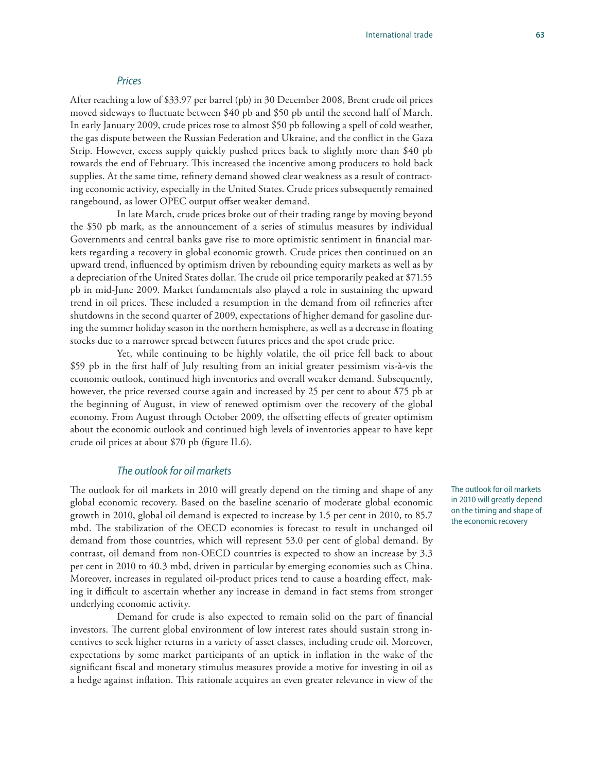#### *Prices*

After reaching a low of \$33.97 per barrel (pb) in 30 December 2008, Brent crude oil prices moved sideways to fluctuate between \$40 pb and \$50 pb until the second half of March. In early January 2009, crude prices rose to almost \$50 pb following a spell of cold weather, the gas dispute between the Russian Federation and Ukraine, and the conflict in the Gaza Strip. However, excess supply quickly pushed prices back to slightly more than \$40 pb towards the end of February. This increased the incentive among producers to hold back supplies. At the same time, refinery demand showed clear weakness as a result of contracting economic activity, especially in the United States. Crude prices subsequently remained rangebound, as lower OPEC output offset weaker demand.

In late March, crude prices broke out of their trading range by moving beyond the \$50 pb mark, as the announcement of a series of stimulus measures by individual Governments and central banks gave rise to more optimistic sentiment in financial markets regarding a recovery in global economic growth. Crude prices then continued on an upward trend, influenced by optimism driven by rebounding equity markets as well as by a depreciation of the United States dollar. The crude oil price temporarily peaked at \$71.55 pb in mid-June 2009. Market fundamentals also played a role in sustaining the upward trend in oil prices. These included a resumption in the demand from oil refineries after shutdowns in the second quarter of 2009, expectations of higher demand for gasoline during the summer holiday season in the northern hemisphere, as well as a decrease in floating stocks due to a narrower spread between futures prices and the spot crude price.

Yet, while continuing to be highly volatile, the oil price fell back to about \$59 pb in the first half of July resulting from an initial greater pessimism vis-à-vis the economic outlook, continued high inventories and overall weaker demand. Subsequently, however, the price reversed course again and increased by 25 per cent to about \$75 pb at the beginning of August, in view of renewed optimism over the recovery of the global economy. From August through October 2009, the offsetting effects of greater optimism about the economic outlook and continued high levels of inventories appear to have kept crude oil prices at about \$70 pb (figure II.6).

#### *The outlook for oil markets*

The outlook for oil markets in 2010 will greatly depend on the timing and shape of any global economic recovery. Based on the baseline scenario of moderate global economic growth in 2010, global oil demand is expected to increase by 1.5 per cent in 2010, to 85.7 mbd. The stabilization of the OECD economies is forecast to result in unchanged oil demand from those countries, which will represent 53.0 per cent of global demand. By contrast, oil demand from non-OECD countries is expected to show an increase by 3.3 per cent in 2010 to 40.3 mbd, driven in particular by emerging economies such as China. Moreover, increases in regulated oil-product prices tend to cause a hoarding effect, making it difficult to ascertain whether any increase in demand in fact stems from stronger underlying economic activity.

Demand for crude is also expected to remain solid on the part of financial investors. The current global environment of low interest rates should sustain strong incentives to seek higher returns in a variety of asset classes, including crude oil. Moreover, expectations by some market participants of an uptick in inflation in the wake of the significant fiscal and monetary stimulus measures provide a motive for investing in oil as a hedge against inflation. This rationale acquires an even greater relevance in view of the The outlook for oil markets in 2010 will greatly depend on the timing and shape of the economic recovery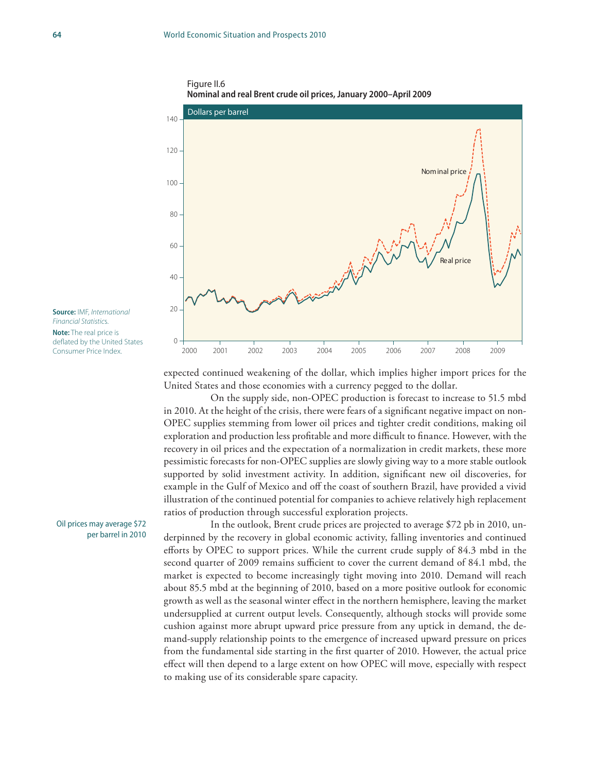





**Note:** The real price is deflated by the United States Consumer Price Index.

Oil prices may average \$72 per barrel in 2010 expected continued weakening of the dollar, which implies higher import prices for the United States and those economies with a currency pegged to the dollar.

On the supply side, non-OPEC production is forecast to increase to 51.5 mbd in 2010. At the height of the crisis, there were fears of a significant negative impact on non-OPEC supplies stemming from lower oil prices and tighter credit conditions, making oil exploration and production less profitable and more difficult to finance. However, with the recovery in oil prices and the expectation of a normalization in credit markets, these more pessimistic forecasts for non-OPEC supplies are slowly giving way to a more stable outlook supported by solid investment activity. In addition, significant new oil discoveries, for example in the Gulf of Mexico and off the coast of southern Brazil, have provided a vivid illustration of the continued potential for companies to achieve relatively high replacement ratios of production through successful exploration projects.

In the outlook, Brent crude prices are projected to average \$72 pb in 2010, underpinned by the recovery in global economic activity, falling inventories and continued efforts by OPEC to support prices. While the current crude supply of 84.3 mbd in the second quarter of 2009 remains sufficient to cover the current demand of 84.1 mbd, the market is expected to become increasingly tight moving into 2010. Demand will reach about 85.5 mbd at the beginning of 2010, based on a more positive outlook for economic growth as well as the seasonal winter effect in the northern hemisphere, leaving the market undersupplied at current output levels. Consequently, although stocks will provide some cushion against more abrupt upward price pressure from any uptick in demand, the demand-supply relationship points to the emergence of increased upward pressure on prices from the fundamental side starting in the first quarter of 2010. However, the actual price effect will then depend to a large extent on how OPEC will move, especially with respect to making use of its considerable spare capacity.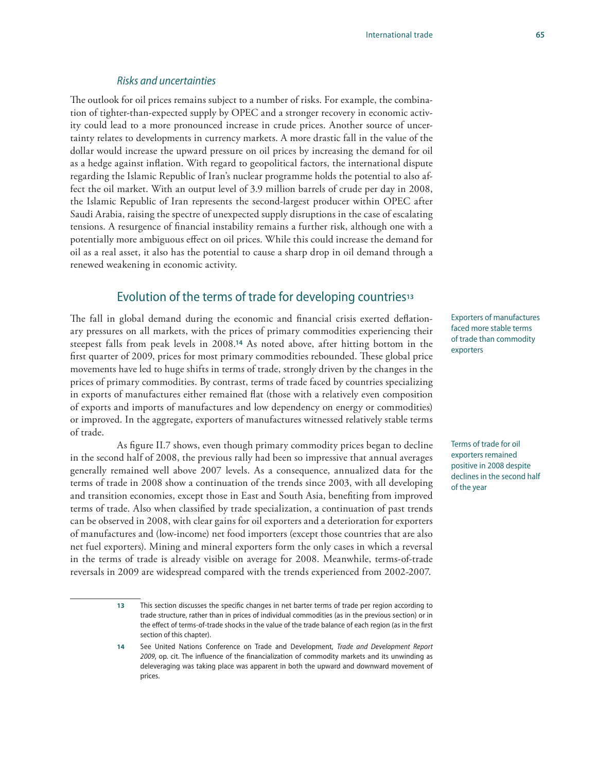#### *Risks and uncertainties*

The outlook for oil prices remains subject to a number of risks. For example, the combination of tighter-than-expected supply by OPEC and a stronger recovery in economic activity could lead to a more pronounced increase in crude prices. Another source of uncertainty relates to developments in currency markets. A more drastic fall in the value of the dollar would increase the upward pressure on oil prices by increasing the demand for oil as a hedge against inflation. With regard to geopolitical factors, the international dispute regarding the Islamic Republic of Iran's nuclear programme holds the potential to also affect the oil market. With an output level of 3.9 million barrels of crude per day in 2008, the Islamic Republic of Iran represents the second-largest producer within OPEC after Saudi Arabia, raising the spectre of unexpected supply disruptions in the case of escalating tensions. A resurgence of financial instability remains a further risk, although one with a potentially more ambiguous effect on oil prices. While this could increase the demand for oil as a real asset, it also has the potential to cause a sharp drop in oil demand through a renewed weakening in economic activity.

### Evolution of the terms of trade for developing countries**<sup>13</sup>**

The fall in global demand during the economic and financial crisis exerted deflationary pressures on all markets, with the prices of primary commodities experiencing their steepest falls from peak levels in 2008.**14** As noted above, after hitting bottom in the first quarter of 2009, prices for most primary commodities rebounded. These global price movements have led to huge shifts in terms of trade, strongly driven by the changes in the prices of primary commodities. By contrast, terms of trade faced by countries specializing in exports of manufactures either remained flat (those with a relatively even composition of exports and imports of manufactures and low dependency on energy or commodities) or improved. In the aggregate, exporters of manufactures witnessed relatively stable terms of trade.

As figure II.7 shows, even though primary commodity prices began to decline in the second half of 2008, the previous rally had been so impressive that annual averages generally remained well above 2007 levels. As a consequence, annualized data for the terms of trade in 2008 show a continuation of the trends since 2003, with all developing and transition economies, except those in East and South Asia, benefiting from improved terms of trade. Also when classified by trade specialization, a continuation of past trends can be observed in 2008, with clear gains for oil exporters and a deterioration for exporters of manufactures and (low-income) net food importers (except those countries that are also net fuel exporters). Mining and mineral exporters form the only cases in which a reversal in the terms of trade is already visible on average for 2008. Meanwhile, terms-of-trade reversals in 2009 are widespread compared with the trends experienced from 2002-2007.

Exporters of manufactures faced more stable terms of trade than commodity exporters

Terms of trade for oil exporters remained positive in 2008 despite declines in the second half of the year

**<sup>13</sup>** This section discusses the specific changes in net barter terms of trade per region according to trade structure, rather than in prices of individual commodities (as in the previous section) or in the effect of terms-of-trade shocks in the value of the trade balance of each region (as in the first section of this chapter).

**<sup>14</sup>** See United Nations Conference on Trade and Development, *Trade and Development Report 2009*, op. cit. The influence of the financialization of commodity markets and its unwinding as deleveraging was taking place was apparent in both the upward and downward movement of prices.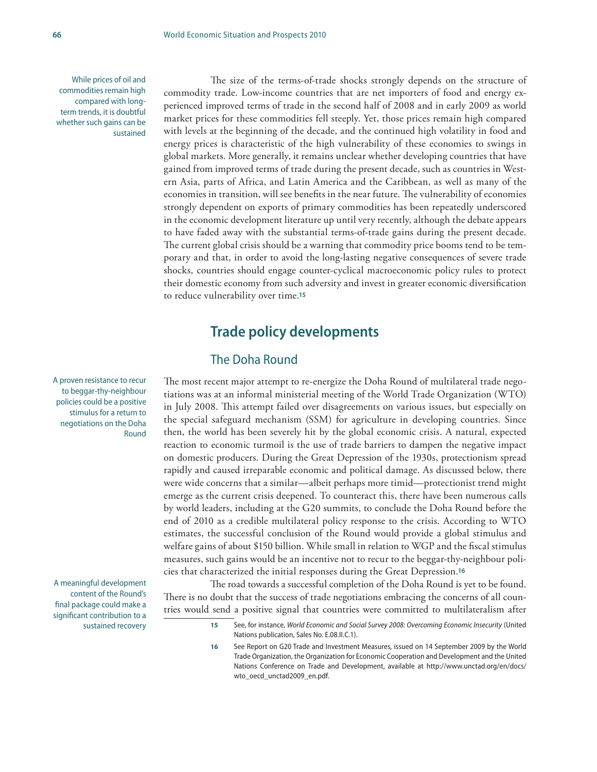While prices of oil and commodities remain high compared with longterm trends, it is doubtful whether such gains can be sustained

The size of the terms-of-trade shocks strongly depends on the structure of commodity trade. Low-income countries that are net importers of food and energy experienced improved terms of trade in the second half of 2008 and in early 2009 as world market prices for these commodities fell steeply. Yet, those prices remain high compared with levels at the beginning of the decade, and the continued high volatility in food and energy prices is characteristic of the high vulnerability of these economies to swings in global markets. More generally, it remains unclear whether developing countries that have gained from improved terms of trade during the present decade, such as countries in Western Asia, parts of Africa, and Latin America and the Caribbean, as well as many of the economies in transition, will see benefits in the near future. The vulnerability of economies strongly dependent on exports of primary commodities has been repeatedly underscored in the economic development literature up until very recently, although the debate appears to have faded away with the substantial terms-of-trade gains during the present decade. The current global crisis should be a warning that commodity price booms tend to be temporary and that, in order to avoid the long-lasting negative consequences of severe trade shocks, countries should engage counter-cyclical macroeconomic policy rules to protect their domestic economy from such adversity and invest in greater economic diversification to reduce vulnerability over time.**<sup>15</sup>**

### **Trade policy developments**

### The Doha Round

The most recent major attempt to re-energize the Doha Round of multilateral trade negotiations was at an informal ministerial meeting of the World Trade Organization (WTO) in July 2008. This attempt failed over disagreements on various issues, but especially on the special safeguard mechanism (SSM) for agriculture in developing countries. Since then, the world has been severely hit by the global economic crisis. A natural, expected reaction to economic turmoil is the use of trade barriers to dampen the negative impact on domestic producers. During the Great Depression of the 1930s, protectionism spread rapidly and caused irreparable economic and political damage. As discussed below, there were wide concerns that a similar—albeit perhaps more timid—protectionist trend might emerge as the current crisis deepened. To counteract this, there have been numerous calls by world leaders, including at the G20 summits, to conclude the Doha Round before the end of 2010 as a credible multilateral policy response to the crisis. According to WTO estimates, the successful conclusion of the Round would provide a global stimulus and welfare gains of about \$150 billion. While small in relation to WGP and the fiscal stimulus measures, such gains would be an incentive not to recur to the beggar-thy-neighbour policies that characterized the initial responses during the Great Depression.**<sup>16</sup>**

The road towards a successful completion of the Doha Round is yet to be found. There is no doubt that the success of trade negotiations embracing the concerns of all countries would send a positive signal that countries were committed to multilateralism after

> **15** See, for instance, *World Economic and Social Survey 2008: Overcoming Economic Insecurity* (United Nations publication, Sales No. E.08.II.C.1).

**16** See Report on G20 Trade and Investment Measures, issued on 14 September 2009 by the World Trade Organization, the Organization for Economic Cooperation and Development and the United Nations Conference on Trade and Development, available at http://www.unctad.org/en/docs/ wto\_oecd\_unctad2009\_en.pdf.

A proven resistance to recur to beggar-thy-neighbour policies could be a positive stimulus for a return to negotiations on the Doha Round

A meaningful development content of the Round's final package could make a significant contribution to a sustained recovery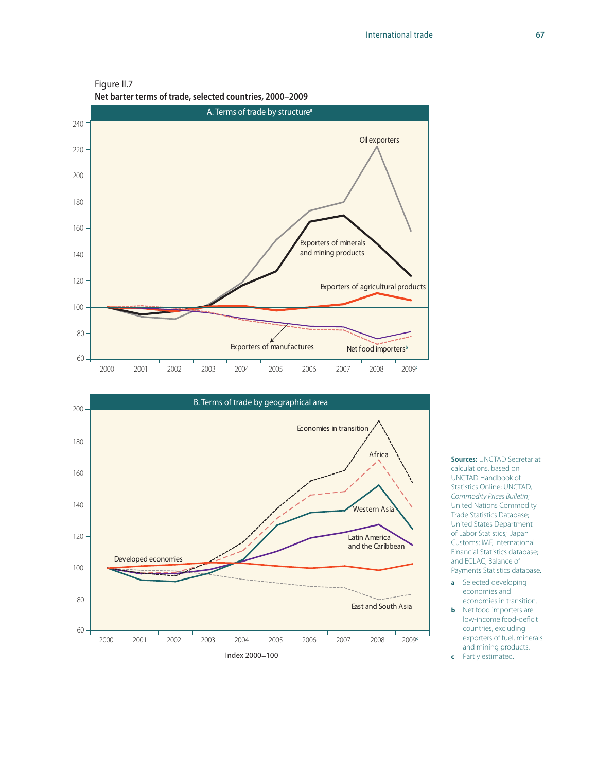Figure II.7







**Sources:** UNCTAD Secretariat calculations, based on UNCTAD Handbook of Statistics Online; UNCTAD, *Commodity Prices Bulletin*; United Nations Commodity Trade Statistics Database; United States Department of Labor Statistics; Japan Customs; IMF, International Financial Statistics database; and ECLAC, Balance of Payments Statistics database.

- **a** Selected developing economies and economies in transition.
- **b** Net food importers are low-income food-deficit countries, excluding exporters of fuel, minerals and mining products.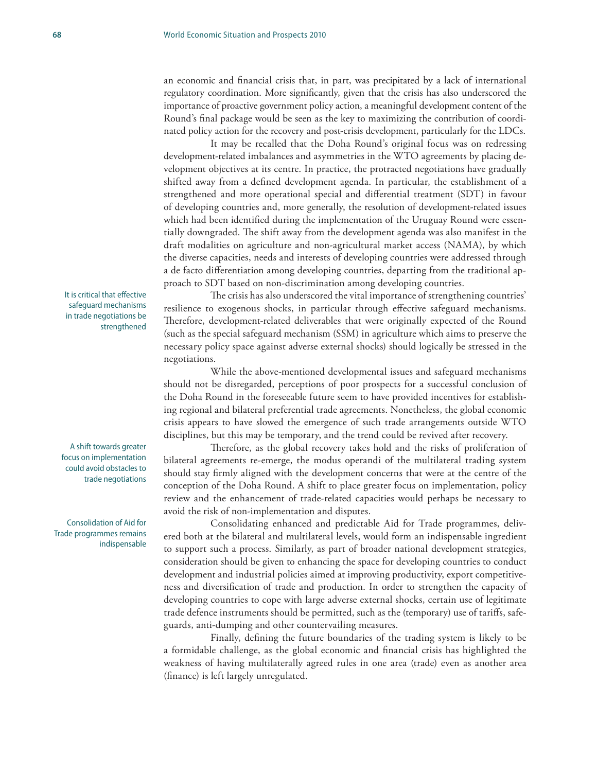an economic and financial crisis that, in part, was precipitated by a lack of international regulatory coordination. More significantly, given that the crisis has also underscored the importance of proactive government policy action, a meaningful development content of the Round's final package would be seen as the key to maximizing the contribution of coordinated policy action for the recovery and post-crisis development, particularly for the LDCs.

It may be recalled that the Doha Round's original focus was on redressing development-related imbalances and asymmetries in the WTO agreements by placing development objectives at its centre. In practice, the protracted negotiations have gradually shifted away from a defined development agenda. In particular, the establishment of a strengthened and more operational special and differential treatment (SDT) in favour of developing countries and, more generally, the resolution of development-related issues which had been identified during the implementation of the Uruguay Round were essentially downgraded. The shift away from the development agenda was also manifest in the draft modalities on agriculture and non-agricultural market access (NAMA), by which the diverse capacities, needs and interests of developing countries were addressed through a de facto differentiation among developing countries, departing from the traditional approach to SDT based on non-discrimination among developing countries.

The crisis has also underscored the vital importance of strengthening countries' resilience to exogenous shocks, in particular through effective safeguard mechanisms. Therefore, development-related deliverables that were originally expected of the Round (such as the special safeguard mechanism (SSM) in agriculture which aims to preserve the necessary policy space against adverse external shocks) should logically be stressed in the negotiations.

While the above-mentioned developmental issues and safeguard mechanisms should not be disregarded, perceptions of poor prospects for a successful conclusion of the Doha Round in the foreseeable future seem to have provided incentives for establishing regional and bilateral preferential trade agreements. Nonetheless, the global economic crisis appears to have slowed the emergence of such trade arrangements outside WTO disciplines, but this may be temporary, and the trend could be revived after recovery.

Therefore, as the global recovery takes hold and the risks of proliferation of bilateral agreements re-emerge, the modus operandi of the multilateral trading system should stay firmly aligned with the development concerns that were at the centre of the conception of the Doha Round. A shift to place greater focus on implementation, policy review and the enhancement of trade-related capacities would perhaps be necessary to avoid the risk of non-implementation and disputes.

Consolidating enhanced and predictable Aid for Trade programmes, delivered both at the bilateral and multilateral levels, would form an indispensable ingredient to support such a process. Similarly, as part of broader national development strategies, consideration should be given to enhancing the space for developing countries to conduct development and industrial policies aimed at improving productivity, export competitiveness and diversification of trade and production. In order to strengthen the capacity of developing countries to cope with large adverse external shocks, certain use of legitimate trade defence instruments should be permitted, such as the (temporary) use of tariffs, safeguards, anti-dumping and other countervailing measures.

Finally, defining the future boundaries of the trading system is likely to be a formidable challenge, as the global economic and financial crisis has highlighted the weakness of having multilaterally agreed rules in one area (trade) even as another area (finance) is left largely unregulated.

It is critical that effective safeguard mechanisms in trade negotiations be strengthened

A shift towards greater focus on implementation could avoid obstacles to trade negotiations

Consolidation of Aid for Trade programmes remains indispensable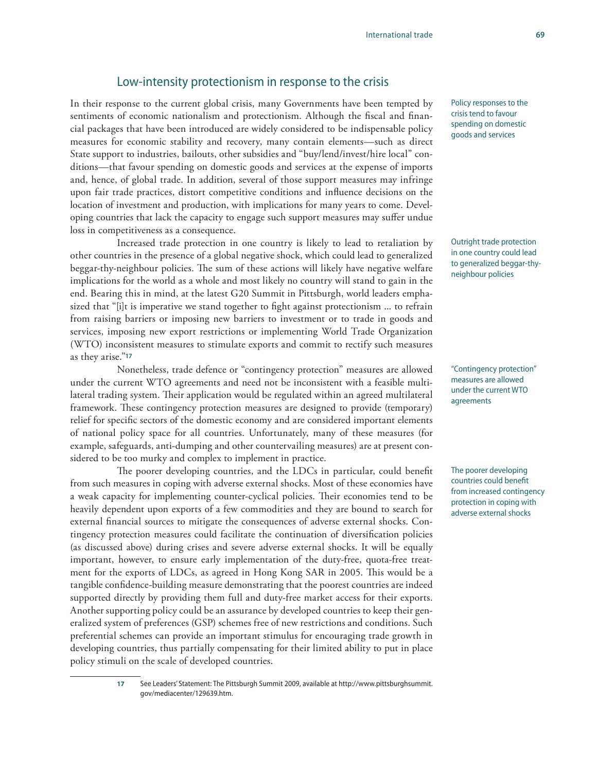### Low-intensity protectionism in response to the crisis

In their response to the current global crisis, many Governments have been tempted by sentiments of economic nationalism and protectionism. Although the fiscal and financial packages that have been introduced are widely considered to be indispensable policy measures for economic stability and recovery, many contain elements—such as direct State support to industries, bailouts, other subsidies and "buy/lend/invest/hire local" conditions—that favour spending on domestic goods and services at the expense of imports and, hence, of global trade. In addition, several of those support measures may infringe upon fair trade practices, distort competitive conditions and influence decisions on the location of investment and production, with implications for many years to come. Developing countries that lack the capacity to engage such support measures may suffer undue loss in competitiveness as a consequence.

Increased trade protection in one country is likely to lead to retaliation by other countries in the presence of a global negative shock, which could lead to generalized beggar-thy-neighbour policies. The sum of these actions will likely have negative welfare implications for the world as a whole and most likely no country will stand to gain in the end. Bearing this in mind, at the latest G20 Summit in Pittsburgh, world leaders emphasized that "[i]t is imperative we stand together to fight against protectionism ... to refrain from raising barriers or imposing new barriers to investment or to trade in goods and services, imposing new export restrictions or implementing World Trade Organization (WTO) inconsistent measures to stimulate exports and commit to rectify such measures as they arise."**<sup>17</sup>**

Nonetheless, trade defence or "contingency protection" measures are allowed under the current WTO agreements and need not be inconsistent with a feasible multilateral trading system. Their application would be regulated within an agreed multilateral framework. These contingency protection measures are designed to provide (temporary) relief for specific sectors of the domestic economy and are considered important elements of national policy space for all countries. Unfortunately, many of these measures (for example, safeguards, anti-dumping and other countervailing measures) are at present considered to be too murky and complex to implement in practice.

The poorer developing countries, and the LDCs in particular, could benefit from such measures in coping with adverse external shocks. Most of these economies have a weak capacity for implementing counter-cyclical policies. Their economies tend to be heavily dependent upon exports of a few commodities and they are bound to search for external financial sources to mitigate the consequences of adverse external shocks. Contingency protection measures could facilitate the continuation of diversification policies (as discussed above) during crises and severe adverse external shocks. It will be equally important, however, to ensure early implementation of the duty-free, quota-free treatment for the exports of LDCs, as agreed in Hong Kong SAR in 2005. This would be a tangible confidence-building measure demonstrating that the poorest countries are indeed supported directly by providing them full and duty-free market access for their exports. Another supporting policy could be an assurance by developed countries to keep their generalized system of preferences (GSP) schemes free of new restrictions and conditions. Such preferential schemes can provide an important stimulus for encouraging trade growth in developing countries, thus partially compensating for their limited ability to put in place policy stimuli on the scale of developed countries.

> **17** See Leaders' Statement: The Pittsburgh Summit 2009, available at http://www.pittsburghsummit. gov/mediacenter/129639.htm.

Policy responses to the crisis tend to favour spending on domestic goods and services

Outright trade protection in one country could lead to generalized beggar-thyneighbour policies

"Contingency protection" measures are allowed under the current WTO agreements

The poorer developing countries could benefit from increased contingency protection in coping with adverse external shocks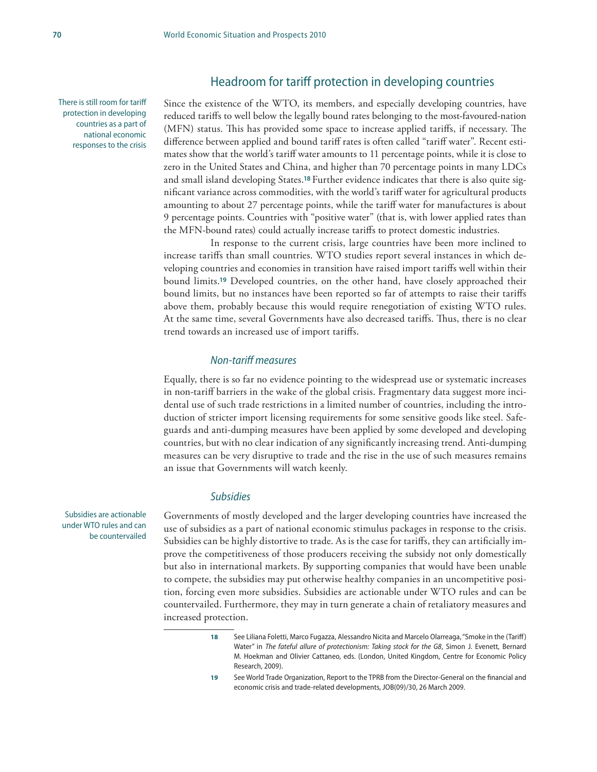### Headroom for tariff protection in developing countries

There is still room for tariff protection in developing countries as a part of national economic responses to the crisis Since the existence of the WTO, its members, and especially developing countries, have reduced tariffs to well below the legally bound rates belonging to the most-favoured-nation (MFN) status. This has provided some space to increase applied tariffs, if necessary. The difference between applied and bound tariff rates is often called "tariff water". Recent estimates show that the world's tariff water amounts to 11 percentage points, while it is close to zero in the United States and China, and higher than 70 percentage points in many LDCs and small island developing States.**<sup>18</sup>** Further evidence indicates that there is also quite significant variance across commodities, with the world's tariff water for agricultural products amounting to about 27 percentage points, while the tariff water for manufactures is about 9 percentage points. Countries with "positive water" (that is, with lower applied rates than the MFN-bound rates) could actually increase tariffs to protect domestic industries.

In response to the current crisis, large countries have been more inclined to increase tariffs than small countries. WTO studies report several instances in which developing countries and economies in transition have raised import tariffs well within their bound limits.**19** Developed countries, on the other hand, have closely approached their bound limits, but no instances have been reported so far of attempts to raise their tariffs above them, probably because this would require renegotiation of existing WTO rules. At the same time, several Governments have also decreased tariffs. Thus, there is no clear trend towards an increased use of import tariffs.

### *Non-tariff measures*

Equally, there is so far no evidence pointing to the widespread use or systematic increases in non-tariff barriers in the wake of the global crisis. Fragmentary data suggest more incidental use of such trade restrictions in a limited number of countries, including the introduction of stricter import licensing requirements for some sensitive goods like steel. Safeguards and anti-dumping measures have been applied by some developed and developing countries, but with no clear indication of any significantly increasing trend. Anti-dumping measures can be very disruptive to trade and the rise in the use of such measures remains an issue that Governments will watch keenly.

#### *Subsidies*

Governments of mostly developed and the larger developing countries have increased the use of subsidies as a part of national economic stimulus packages in response to the crisis. Subsidies can be highly distortive to trade. As is the case for tariffs, they can artificially improve the competitiveness of those producers receiving the subsidy not only domestically but also in international markets. By supporting companies that would have been unable to compete, the subsidies may put otherwise healthy companies in an uncompetitive position, forcing even more subsidies. Subsidies are actionable under WTO rules and can be countervailed. Furthermore, they may in turn generate a chain of retaliatory measures and increased protection.

**19** See World Trade Organization, Report to the TPRB from the Director-General on the financial and economic crisis and trade-related developments, JOB(09)/30, 26 March 2009.

Subsidies are actionable under WTO rules and can be countervailed

**<sup>18</sup>** See Liliana Foletti, Marco Fugazza, Alessandro Nicita and Marcelo Olarreaga, "Smoke in the (Tariff ) Water" in *The fateful allure of protectionism: Taking stock for the G8*, Simon J. Evenett, Bernard M. Hoekman and Olivier Cattaneo, eds. (London, United Kingdom, Centre for Economic Policy Research, 2009).